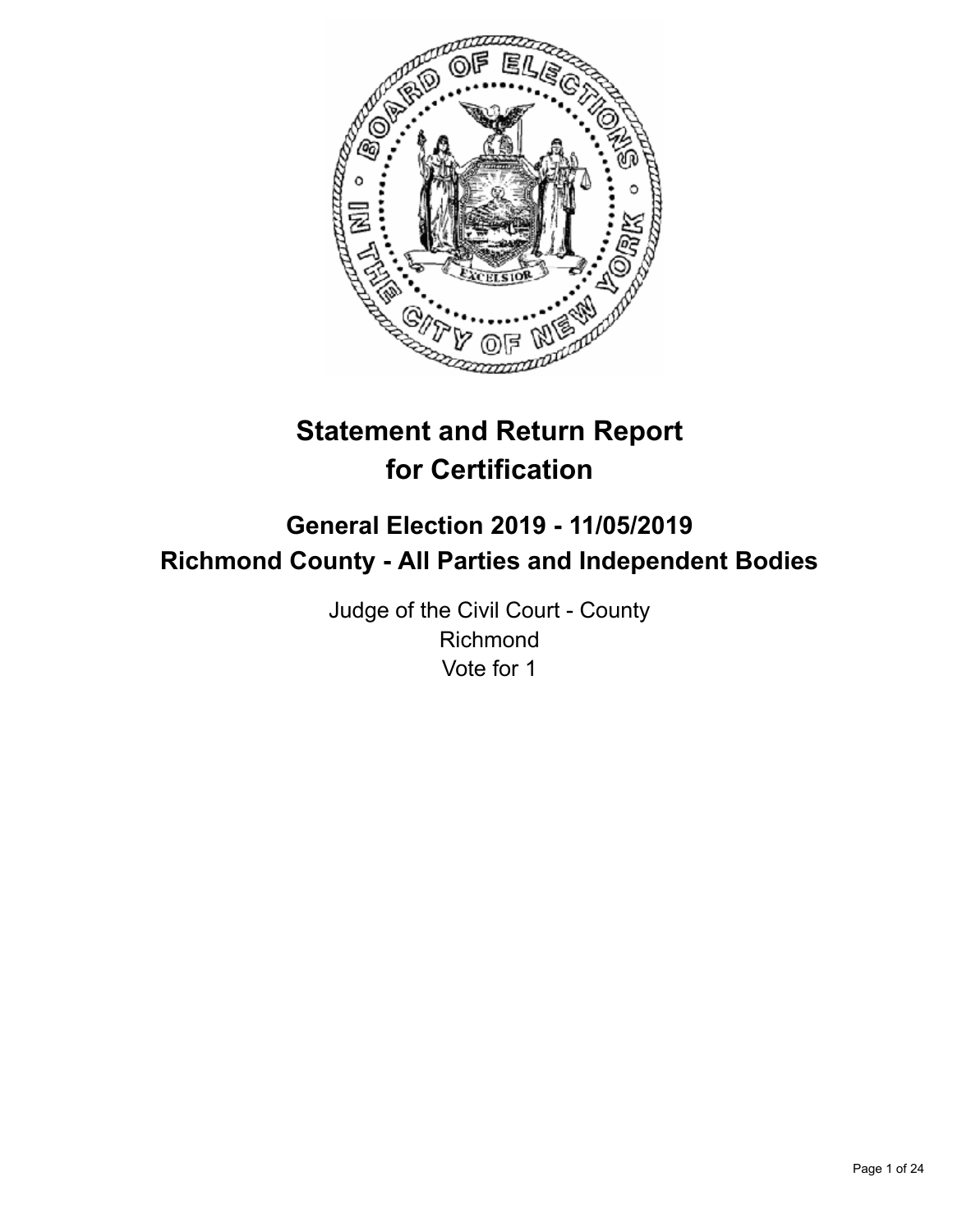

# **Statement and Return Report for Certification**

## **General Election 2019 - 11/05/2019 Richmond County - All Parties and Independent Bodies**

Judge of the Civil Court - County Richmond Vote for 1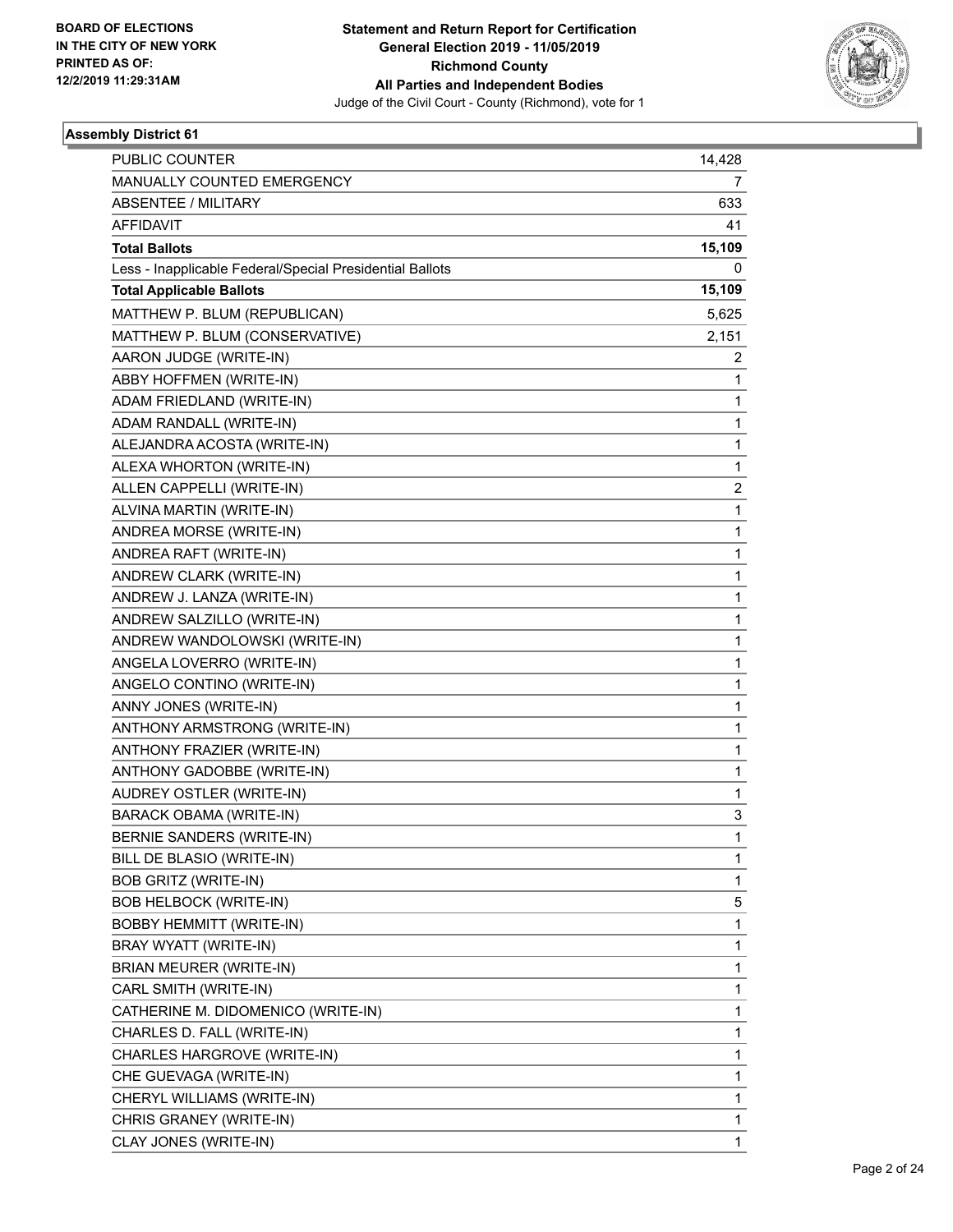

| <b>PUBLIC COUNTER</b>                                    | 14,428       |
|----------------------------------------------------------|--------------|
| MANUALLY COUNTED EMERGENCY                               | 7            |
| <b>ABSENTEE / MILITARY</b>                               | 633          |
| <b>AFFIDAVIT</b>                                         | 41           |
| <b>Total Ballots</b>                                     | 15,109       |
| Less - Inapplicable Federal/Special Presidential Ballots | 0            |
| <b>Total Applicable Ballots</b>                          | 15,109       |
| MATTHEW P. BLUM (REPUBLICAN)                             | 5,625        |
| MATTHEW P. BLUM (CONSERVATIVE)                           | 2,151        |
| AARON JUDGE (WRITE-IN)                                   | 2            |
| ABBY HOFFMEN (WRITE-IN)                                  | 1            |
| ADAM FRIEDLAND (WRITE-IN)                                | 1            |
| ADAM RANDALL (WRITE-IN)                                  | 1            |
| ALEJANDRA ACOSTA (WRITE-IN)                              | $\mathbf{1}$ |
| ALEXA WHORTON (WRITE-IN)                                 | 1            |
| ALLEN CAPPELLI (WRITE-IN)                                | 2            |
| ALVINA MARTIN (WRITE-IN)                                 | $\mathbf{1}$ |
| ANDREA MORSE (WRITE-IN)                                  | 1            |
| ANDREA RAFT (WRITE-IN)                                   | 1            |
| ANDREW CLARK (WRITE-IN)                                  | $\mathbf{1}$ |
| ANDREW J. LANZA (WRITE-IN)                               | 1            |
| ANDREW SALZILLO (WRITE-IN)                               | 1            |
| ANDREW WANDOLOWSKI (WRITE-IN)                            | 1            |
| ANGELA LOVERRO (WRITE-IN)                                | 1            |
| ANGELO CONTINO (WRITE-IN)                                | 1            |
| ANNY JONES (WRITE-IN)                                    | $\mathbf{1}$ |
| ANTHONY ARMSTRONG (WRITE-IN)                             | 1            |
| ANTHONY FRAZIER (WRITE-IN)                               | 1            |
| ANTHONY GADOBBE (WRITE-IN)                               | 1            |
| AUDREY OSTLER (WRITE-IN)                                 | 1            |
| <b>BARACK OBAMA (WRITE-IN)</b>                           | 3            |
| BERNIE SANDERS (WRITE-IN)                                | 1            |
| BILL DE BLASIO (WRITE-IN)                                | 1            |
| <b>BOB GRITZ (WRITE-IN)</b>                              | 1            |
| <b>BOB HELBOCK (WRITE-IN)</b>                            | 5            |
| <b>BOBBY HEMMITT (WRITE-IN)</b>                          | 1            |
| BRAY WYATT (WRITE-IN)                                    | 1            |
| BRIAN MEURER (WRITE-IN)                                  | 1            |
| CARL SMITH (WRITE-IN)                                    | 1            |
| CATHERINE M. DIDOMENICO (WRITE-IN)                       | 1            |
| CHARLES D. FALL (WRITE-IN)                               | 1            |
| CHARLES HARGROVE (WRITE-IN)                              | 1            |
| CHE GUEVAGA (WRITE-IN)                                   | 1            |
| CHERYL WILLIAMS (WRITE-IN)                               | 1            |
| CHRIS GRANEY (WRITE-IN)                                  | 1            |
| CLAY JONES (WRITE-IN)                                    | 1            |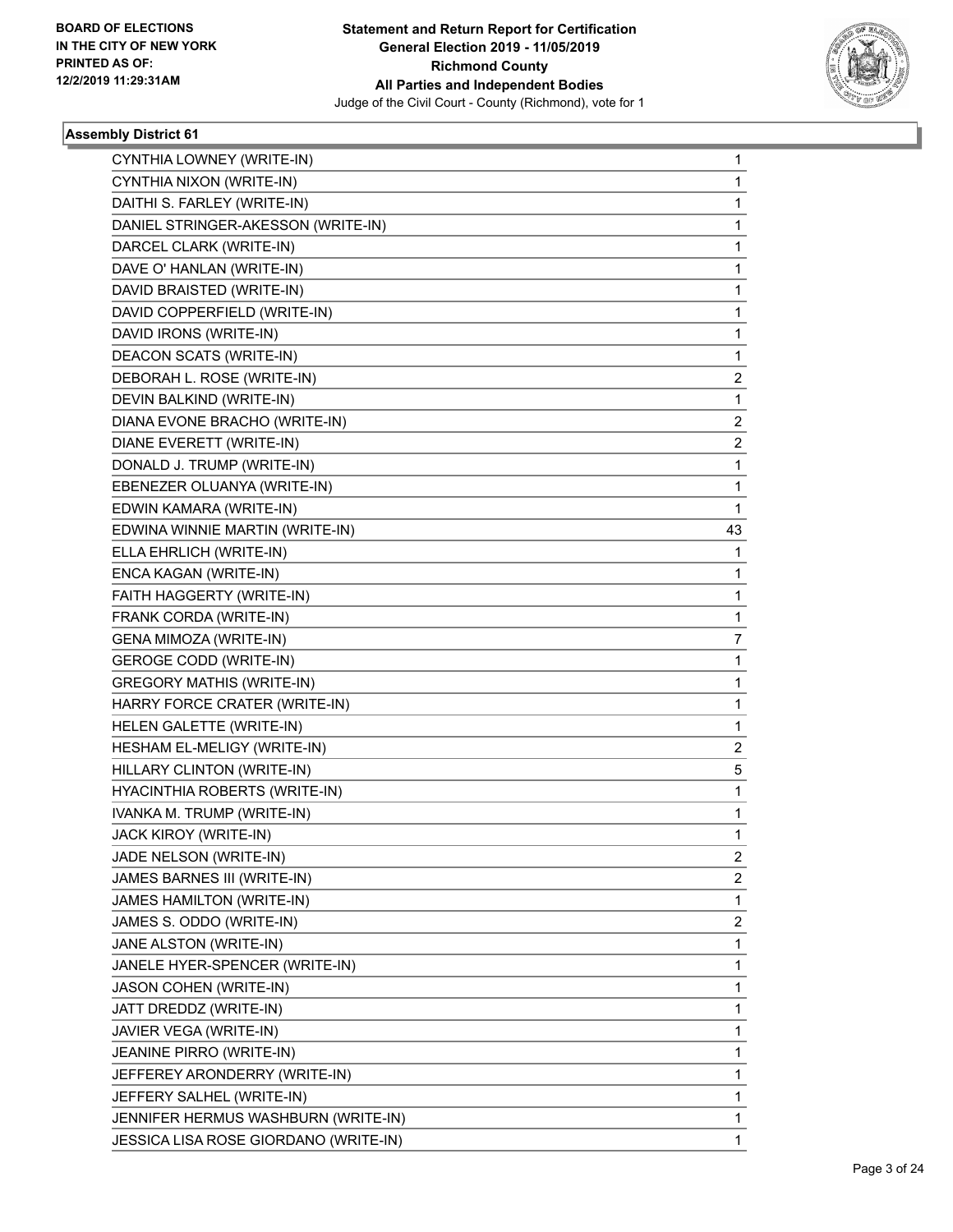

| CYNTHIA LOWNEY (WRITE-IN)             | 1                       |
|---------------------------------------|-------------------------|
| CYNTHIA NIXON (WRITE-IN)              | 1                       |
| DAITHI S. FARLEY (WRITE-IN)           | 1                       |
| DANIEL STRINGER-AKESSON (WRITE-IN)    | 1                       |
| DARCEL CLARK (WRITE-IN)               | $\mathbf{1}$            |
| DAVE O' HANLAN (WRITE-IN)             | 1                       |
| DAVID BRAISTED (WRITE-IN)             | 1                       |
| DAVID COPPERFIELD (WRITE-IN)          | $\mathbf{1}$            |
| DAVID IRONS (WRITE-IN)                | 1                       |
| <b>DEACON SCATS (WRITE-IN)</b>        | 1                       |
| DEBORAH L. ROSE (WRITE-IN)            | 2                       |
| DEVIN BALKIND (WRITE-IN)              | 1                       |
| DIANA EVONE BRACHO (WRITE-IN)         | $\overline{c}$          |
| DIANE EVERETT (WRITE-IN)              | $\overline{\mathbf{c}}$ |
| DONALD J. TRUMP (WRITE-IN)            | 1                       |
| EBENEZER OLUANYA (WRITE-IN)           | 1                       |
| EDWIN KAMARA (WRITE-IN)               | 1                       |
| EDWINA WINNIE MARTIN (WRITE-IN)       | 43                      |
| ELLA EHRLICH (WRITE-IN)               | 1                       |
| ENCA KAGAN (WRITE-IN)                 | $\mathbf{1}$            |
| FAITH HAGGERTY (WRITE-IN)             | 1                       |
| FRANK CORDA (WRITE-IN)                | 1                       |
| GENA MIMOZA (WRITE-IN)                | 7                       |
| <b>GEROGE CODD (WRITE-IN)</b>         | 1                       |
| <b>GREGORY MATHIS (WRITE-IN)</b>      | 1                       |
| HARRY FORCE CRATER (WRITE-IN)         | $\mathbf{1}$            |
| HELEN GALETTE (WRITE-IN)              | 1                       |
| HESHAM EL-MELIGY (WRITE-IN)           | 2                       |
| HILLARY CLINTON (WRITE-IN)            | 5                       |
| HYACINTHIA ROBERTS (WRITE-IN)         | 1                       |
| IVANKA M. TRUMP (WRITE-IN)            | 1                       |
| JACK KIROY (WRITE-IN)                 | 1                       |
| JADE NELSON (WRITE-IN)                | 2                       |
| JAMES BARNES III (WRITE-IN)           | $\overline{2}$          |
| JAMES HAMILTON (WRITE-IN)             | $\mathbf{1}$            |
| JAMES S. ODDO (WRITE-IN)              | $\overline{c}$          |
| JANE ALSTON (WRITE-IN)                | $\mathbf{1}$            |
| JANELE HYER-SPENCER (WRITE-IN)        | 1                       |
| JASON COHEN (WRITE-IN)                | 1                       |
| JATT DREDDZ (WRITE-IN)                | 1                       |
| JAVIER VEGA (WRITE-IN)                | $\mathbf{1}$            |
| JEANINE PIRRO (WRITE-IN)              | 1                       |
| JEFFEREY ARONDERRY (WRITE-IN)         | 1                       |
| JEFFERY SALHEL (WRITE-IN)             | 1                       |
| JENNIFER HERMUS WASHBURN (WRITE-IN)   | 1                       |
| JESSICA LISA ROSE GIORDANO (WRITE-IN) | 1                       |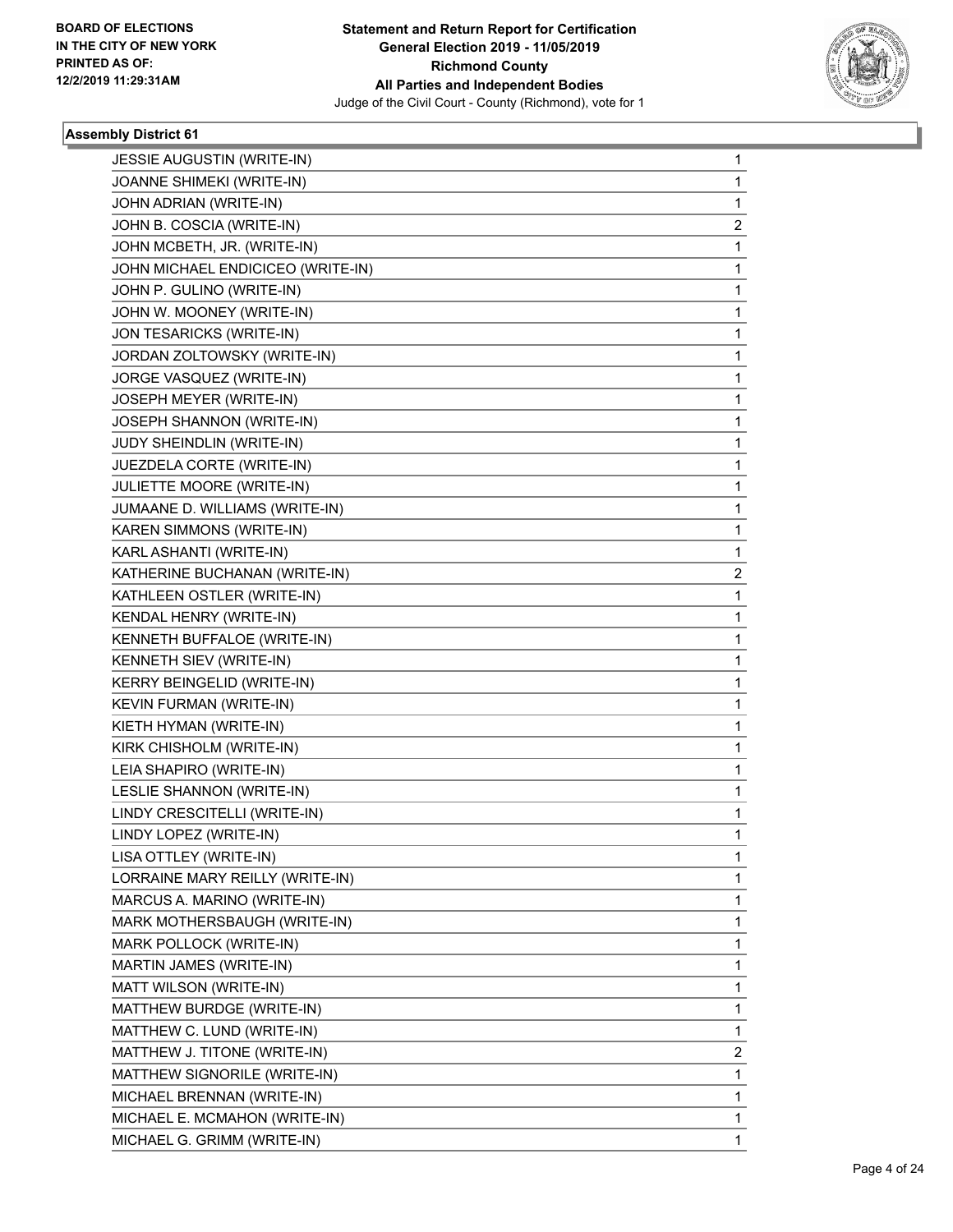

| <b>JESSIE AUGUSTIN (WRITE-IN)</b> | 1                       |
|-----------------------------------|-------------------------|
| JOANNE SHIMEKI (WRITE-IN)         | $\mathbf{1}$            |
| JOHN ADRIAN (WRITE-IN)            | 1                       |
| JOHN B. COSCIA (WRITE-IN)         | 2                       |
| JOHN MCBETH, JR. (WRITE-IN)       | 1                       |
| JOHN MICHAEL ENDICICEO (WRITE-IN) | 1                       |
| JOHN P. GULINO (WRITE-IN)         | $\mathbf{1}$            |
| JOHN W. MOONEY (WRITE-IN)         | 1                       |
| JON TESARICKS (WRITE-IN)          | 1                       |
| JORDAN ZOLTOWSKY (WRITE-IN)       | $\mathbf{1}$            |
| JORGE VASQUEZ (WRITE-IN)          | 1                       |
| JOSEPH MEYER (WRITE-IN)           | 1                       |
| JOSEPH SHANNON (WRITE-IN)         | $\mathbf{1}$            |
| JUDY SHEINDLIN (WRITE-IN)         | 1                       |
| JUEZDELA CORTE (WRITE-IN)         | 1                       |
| JULIETTE MOORE (WRITE-IN)         | $\mathbf{1}$            |
| JUMAANE D. WILLIAMS (WRITE-IN)    | 1                       |
| <b>KAREN SIMMONS (WRITE-IN)</b>   | 1                       |
| KARL ASHANTI (WRITE-IN)           | $\mathbf{1}$            |
| KATHERINE BUCHANAN (WRITE-IN)     | $\overline{\mathbf{c}}$ |
| KATHLEEN OSTLER (WRITE-IN)        | 1                       |
| KENDAL HENRY (WRITE-IN)           | $\mathbf{1}$            |
| KENNETH BUFFALOE (WRITE-IN)       | 1                       |
| KENNETH SIEV (WRITE-IN)           | 1                       |
| KERRY BEINGELID (WRITE-IN)        | $\mathbf{1}$            |
| KEVIN FURMAN (WRITE-IN)           | 1                       |
| KIETH HYMAN (WRITE-IN)            | 1                       |
| KIRK CHISHOLM (WRITE-IN)          | $\mathbf{1}$            |
| LEIA SHAPIRO (WRITE-IN)           | 1                       |
| LESLIE SHANNON (WRITE-IN)         | 1                       |
| LINDY CRESCITELLI (WRITE-IN)      | $\mathbf{1}$            |
| LINDY LOPEZ (WRITE-IN)            | 1                       |
| LISA OTTLEY (WRITE-IN)            | 1                       |
| LORRAINE MARY REILLY (WRITE-IN)   | $\mathbf{1}$            |
| MARCUS A. MARINO (WRITE-IN)       | 1                       |
| MARK MOTHERSBAUGH (WRITE-IN)      | 1                       |
| MARK POLLOCK (WRITE-IN)           | $\mathbf{1}$            |
| MARTIN JAMES (WRITE-IN)           | 1                       |
| MATT WILSON (WRITE-IN)            | 1                       |
| MATTHEW BURDGE (WRITE-IN)         | $\mathbf{1}$            |
| MATTHEW C. LUND (WRITE-IN)        | $\mathbf{1}$            |
| MATTHEW J. TITONE (WRITE-IN)      | $\overline{\mathbf{c}}$ |
| MATTHEW SIGNORILE (WRITE-IN)      | $\mathbf{1}$            |
| MICHAEL BRENNAN (WRITE-IN)        | $\mathbf{1}$            |
| MICHAEL E. MCMAHON (WRITE-IN)     | 1                       |
| MICHAEL G. GRIMM (WRITE-IN)       | 1                       |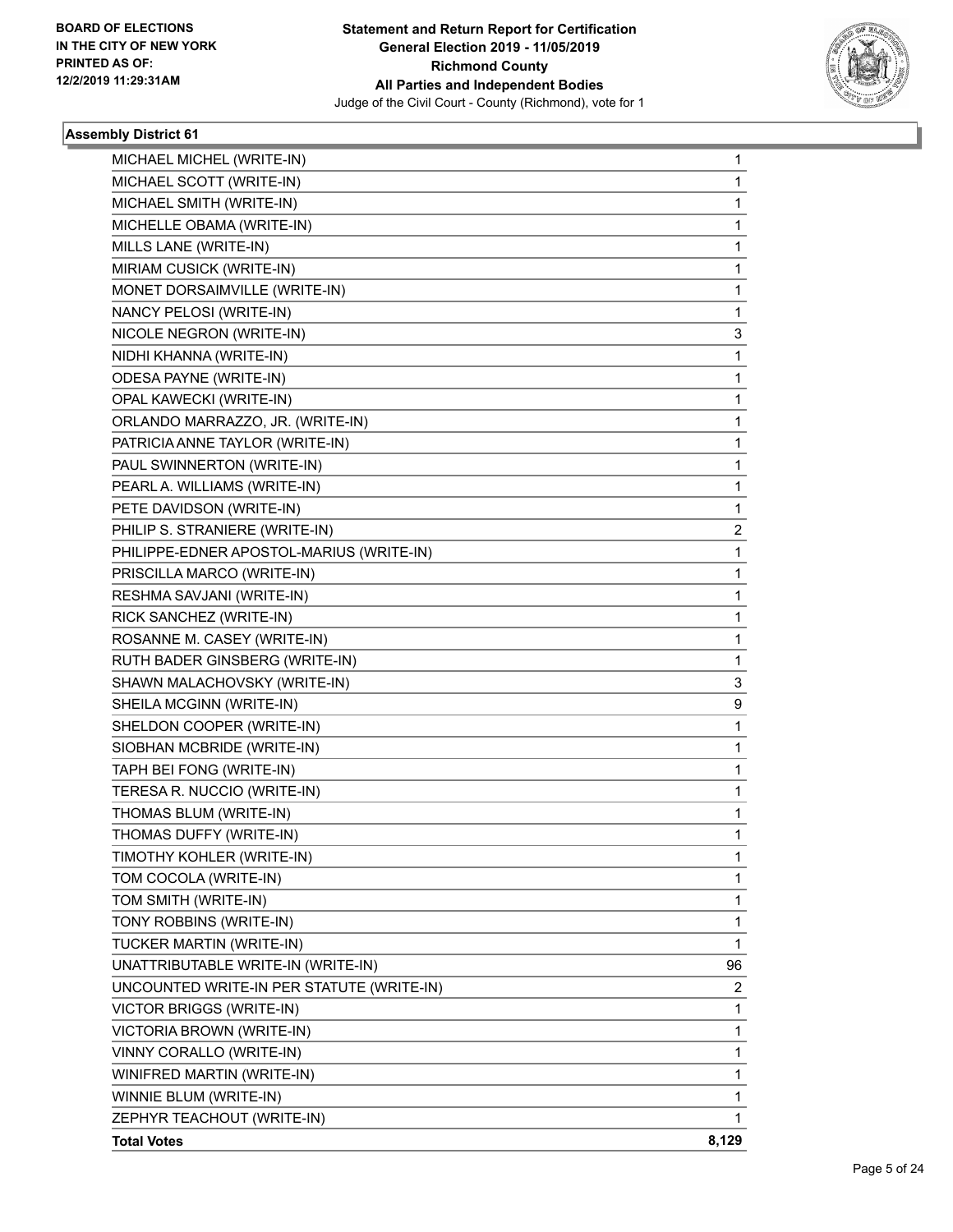

| MICHAEL MICHEL (WRITE-IN)                 | 1              |
|-------------------------------------------|----------------|
| MICHAEL SCOTT (WRITE-IN)                  | 1              |
| MICHAEL SMITH (WRITE-IN)                  | 1              |
| MICHELLE OBAMA (WRITE-IN)                 | 1              |
| MILLS LANE (WRITE-IN)                     | 1              |
| MIRIAM CUSICK (WRITE-IN)                  | 1              |
| MONET DORSAIMVILLE (WRITE-IN)             | 1              |
| NANCY PELOSI (WRITE-IN)                   | $\mathbf{1}$   |
| NICOLE NEGRON (WRITE-IN)                  | 3              |
| NIDHI KHANNA (WRITE-IN)                   | 1              |
| ODESA PAYNE (WRITE-IN)                    | 1              |
| OPAL KAWECKI (WRITE-IN)                   | 1              |
| ORLANDO MARRAZZO, JR. (WRITE-IN)          | 1              |
| PATRICIA ANNE TAYLOR (WRITE-IN)           | $\mathbf{1}$   |
| PAUL SWINNERTON (WRITE-IN)                | 1              |
| PEARL A. WILLIAMS (WRITE-IN)              | 1              |
| PETE DAVIDSON (WRITE-IN)                  | 1              |
| PHILIP S. STRANIERE (WRITE-IN)            | 2              |
| PHILIPPE-EDNER APOSTOL-MARIUS (WRITE-IN)  | 1              |
| PRISCILLA MARCO (WRITE-IN)                | $\mathbf{1}$   |
| RESHMA SAVJANI (WRITE-IN)                 | 1              |
| RICK SANCHEZ (WRITE-IN)                   | 1              |
| ROSANNE M. CASEY (WRITE-IN)               | 1              |
| RUTH BADER GINSBERG (WRITE-IN)            | 1              |
| SHAWN MALACHOVSKY (WRITE-IN)              | 3              |
| SHEILA MCGINN (WRITE-IN)                  | 9              |
| SHELDON COOPER (WRITE-IN)                 | 1              |
| SIOBHAN MCBRIDE (WRITE-IN)                | 1              |
| TAPH BEI FONG (WRITE-IN)                  | 1              |
| TERESA R. NUCCIO (WRITE-IN)               | 1              |
| THOMAS BLUM (WRITE-IN)                    | 1              |
| THOMAS DUFFY (WRITE-IN)                   | 1              |
| TIMOTHY KOHLER (WRITE-IN)                 | 1              |
| TOM COCOLA (WRITE-IN)                     | 1              |
| TOM SMITH (WRITE-IN)                      | 1              |
| TONY ROBBINS (WRITE-IN)                   | 1              |
| TUCKER MARTIN (WRITE-IN)                  | $\mathbf{1}$   |
| UNATTRIBUTABLE WRITE-IN (WRITE-IN)        | 96             |
| UNCOUNTED WRITE-IN PER STATUTE (WRITE-IN) | $\overline{2}$ |
| VICTOR BRIGGS (WRITE-IN)                  | $\mathbf{1}$   |
| VICTORIA BROWN (WRITE-IN)                 | $\mathbf 1$    |
| VINNY CORALLO (WRITE-IN)                  | 1              |
| WINIFRED MARTIN (WRITE-IN)                | 1              |
| WINNIE BLUM (WRITE-IN)                    | 1              |
| ZEPHYR TEACHOUT (WRITE-IN)                | 1              |
| <b>Total Votes</b>                        | 8,129          |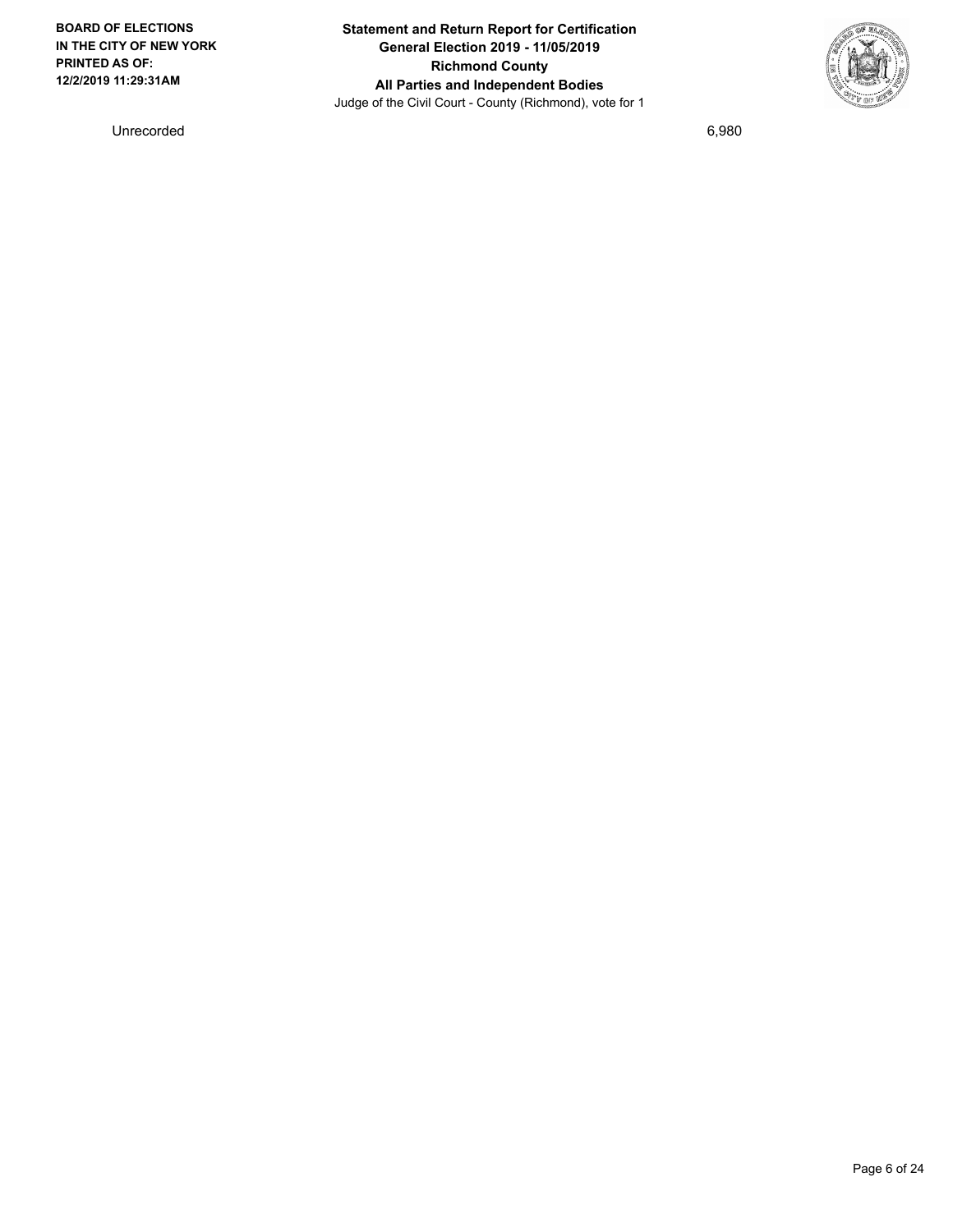**BOARD OF ELECTIONS IN THE CITY OF NEW YORK PRINTED AS OF: 12/2/2019 11:29:31AM**

**Statement and Return Report for Certification General Election 2019 - 11/05/2019 Richmond County All Parties and Independent Bodies** Judge of the Civil Court - County (Richmond), vote for 1



Unrecorded 6,980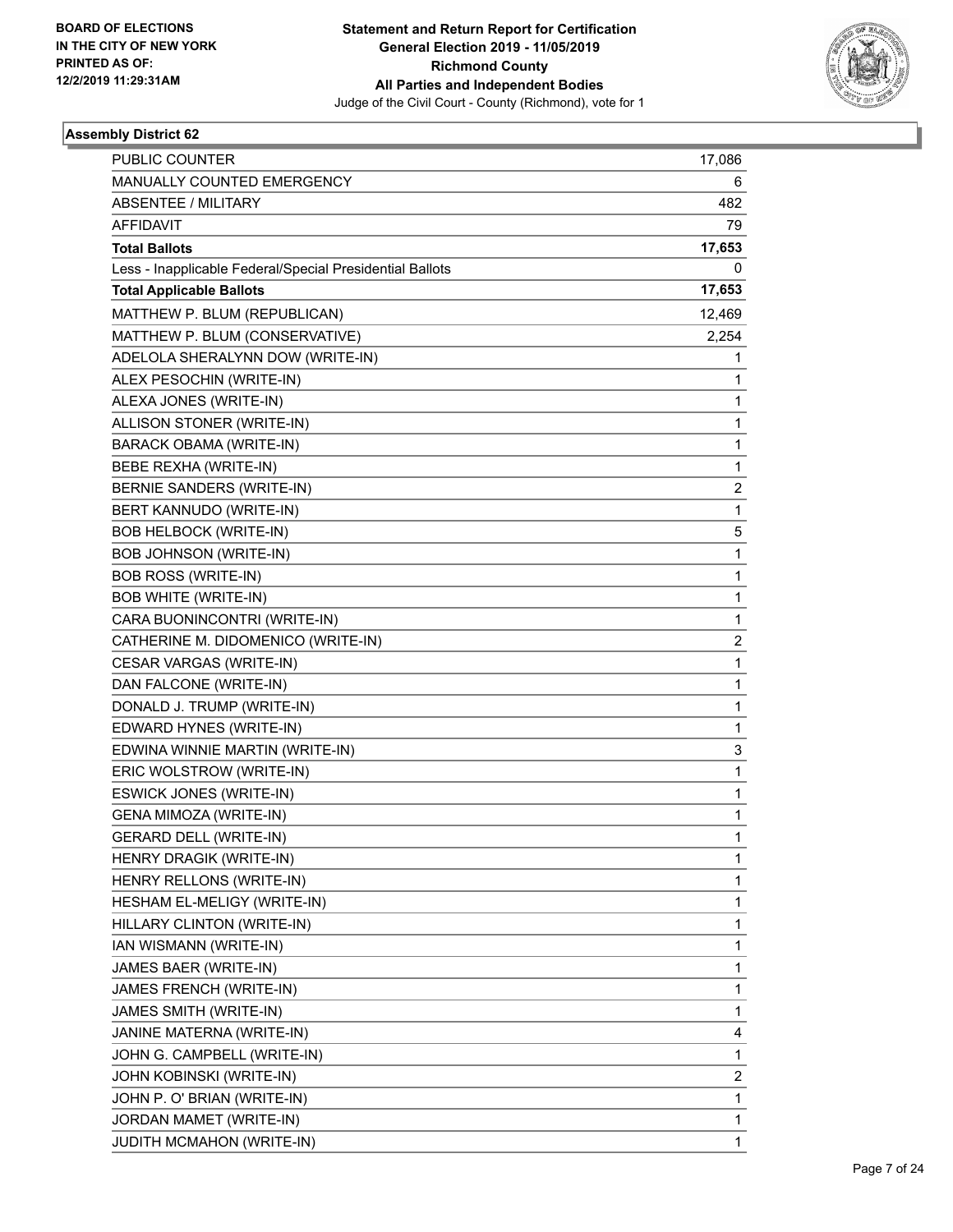

| <b>PUBLIC COUNTER</b>                                    | 17,086         |
|----------------------------------------------------------|----------------|
| MANUALLY COUNTED EMERGENCY                               | 6              |
| <b>ABSENTEE / MILITARY</b>                               | 482            |
| <b>AFFIDAVIT</b>                                         | 79             |
| <b>Total Ballots</b>                                     | 17,653         |
| Less - Inapplicable Federal/Special Presidential Ballots | 0              |
| <b>Total Applicable Ballots</b>                          | 17,653         |
| MATTHEW P. BLUM (REPUBLICAN)                             | 12,469         |
| MATTHEW P. BLUM (CONSERVATIVE)                           | 2,254          |
| ADELOLA SHERALYNN DOW (WRITE-IN)                         | 1              |
| ALEX PESOCHIN (WRITE-IN)                                 | 1              |
| ALEXA JONES (WRITE-IN)                                   | 1              |
| ALLISON STONER (WRITE-IN)                                | 1              |
| BARACK OBAMA (WRITE-IN)                                  | 1              |
| BEBE REXHA (WRITE-IN)                                    | 1              |
| BERNIE SANDERS (WRITE-IN)                                | $\overline{c}$ |
| BERT KANNUDO (WRITE-IN)                                  | 1              |
| <b>BOB HELBOCK (WRITE-IN)</b>                            | 5              |
| <b>BOB JOHNSON (WRITE-IN)</b>                            | 1              |
| <b>BOB ROSS (WRITE-IN)</b>                               | 1              |
| <b>BOB WHITE (WRITE-IN)</b>                              | 1              |
| CARA BUONINCONTRI (WRITE-IN)                             | 1              |
| CATHERINE M. DIDOMENICO (WRITE-IN)                       | $\overline{2}$ |
| CESAR VARGAS (WRITE-IN)                                  | 1              |
| DAN FALCONE (WRITE-IN)                                   | 1              |
| DONALD J. TRUMP (WRITE-IN)                               | 1              |
| EDWARD HYNES (WRITE-IN)                                  | 1              |
| EDWINA WINNIE MARTIN (WRITE-IN)                          | 3              |
| ERIC WOLSTROW (WRITE-IN)                                 | 1              |
| <b>ESWICK JONES (WRITE-IN)</b>                           | 1              |
| GENA MIMOZA (WRITE-IN)                                   | 1              |
| <b>GERARD DELL (WRITE-IN)</b>                            | 1              |
| HENRY DRAGIK (WRITE-IN)                                  | 1              |
| HENRY RELLONS (WRITE-IN)                                 | 1              |
| HESHAM EL-MELIGY (WRITE-IN)                              | 1              |
| HILLARY CLINTON (WRITE-IN)                               | 1              |
| IAN WISMANN (WRITE-IN)                                   | 1              |
| JAMES BAER (WRITE-IN)                                    | 1              |
| JAMES FRENCH (WRITE-IN)                                  | 1              |
| JAMES SMITH (WRITE-IN)                                   | 1              |
| JANINE MATERNA (WRITE-IN)                                | 4              |
| JOHN G. CAMPBELL (WRITE-IN)                              | 1              |
| JOHN KOBINSKI (WRITE-IN)                                 | $\overline{c}$ |
| JOHN P. O' BRIAN (WRITE-IN)                              | 1              |
| JORDAN MAMET (WRITE-IN)                                  | 1              |
| JUDITH MCMAHON (WRITE-IN)                                | 1              |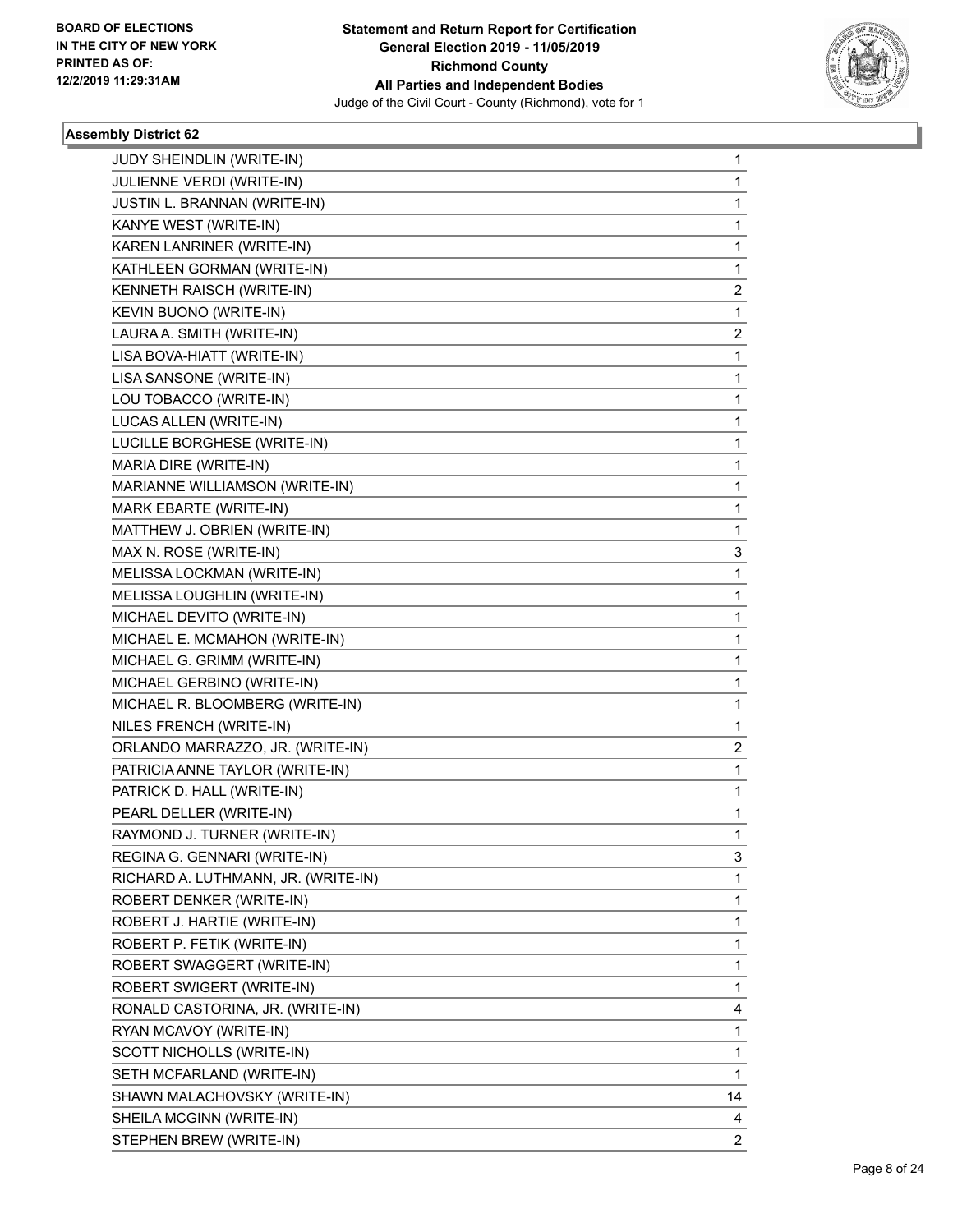

| JUDY SHEINDLIN (WRITE-IN)           | 1              |
|-------------------------------------|----------------|
| JULIENNE VERDI (WRITE-IN)           | $\mathbf{1}$   |
| JUSTIN L. BRANNAN (WRITE-IN)        | 1              |
| KANYE WEST (WRITE-IN)               | $\mathbf{1}$   |
| KAREN LANRINER (WRITE-IN)           | 1              |
| KATHLEEN GORMAN (WRITE-IN)          | 1              |
| KENNETH RAISCH (WRITE-IN)           | $\overline{2}$ |
| KEVIN BUONO (WRITE-IN)              | 1              |
| LAURA A. SMITH (WRITE-IN)           | 2              |
| LISA BOVA-HIATT (WRITE-IN)          | $\mathbf{1}$   |
| LISA SANSONE (WRITE-IN)             | 1              |
| LOU TOBACCO (WRITE-IN)              | 1              |
| LUCAS ALLEN (WRITE-IN)              | $\mathbf{1}$   |
| LUCILLE BORGHESE (WRITE-IN)         | $\mathbf{1}$   |
| MARIA DIRE (WRITE-IN)               | 1              |
| MARIANNE WILLIAMSON (WRITE-IN)      | $\mathbf{1}$   |
| MARK EBARTE (WRITE-IN)              | 1              |
| MATTHEW J. OBRIEN (WRITE-IN)        | 1              |
| MAX N. ROSE (WRITE-IN)              | 3              |
| MELISSA LOCKMAN (WRITE-IN)          | $\mathbf{1}$   |
| MELISSA LOUGHLIN (WRITE-IN)         | 1              |
| MICHAEL DEVITO (WRITE-IN)           | $\mathbf{1}$   |
| MICHAEL E. MCMAHON (WRITE-IN)       | 1              |
| MICHAEL G. GRIMM (WRITE-IN)         | 1              |
| MICHAEL GERBINO (WRITE-IN)          | $\mathbf{1}$   |
| MICHAEL R. BLOOMBERG (WRITE-IN)     | $\mathbf{1}$   |
| NILES FRENCH (WRITE-IN)             | 1              |
| ORLANDO MARRAZZO, JR. (WRITE-IN)    | $\overline{2}$ |
| PATRICIA ANNE TAYLOR (WRITE-IN)     | 1              |
| PATRICK D. HALL (WRITE-IN)          | 1              |
| PEARL DELLER (WRITE-IN)             | $\mathbf{1}$   |
| RAYMOND J. TURNER (WRITE-IN)        | 1              |
| REGINA G. GENNARI (WRITE-IN)        | 3              |
| RICHARD A. LUTHMANN, JR. (WRITE-IN) | $\mathbf{1}$   |
| ROBERT DENKER (WRITE-IN)            | $\mathbf{1}$   |
| ROBERT J. HARTIE (WRITE-IN)         | 1              |
| ROBERT P. FETIK (WRITE-IN)          | $\mathbf{1}$   |
| ROBERT SWAGGERT (WRITE-IN)          | 1              |
| ROBERT SWIGERT (WRITE-IN)           | 1              |
| RONALD CASTORINA, JR. (WRITE-IN)    | 4              |
| RYAN MCAVOY (WRITE-IN)              | $\mathbf{1}$   |
| SCOTT NICHOLLS (WRITE-IN)           | 1              |
| SETH MCFARLAND (WRITE-IN)           | $\mathbf{1}$   |
| SHAWN MALACHOVSKY (WRITE-IN)        | 14             |
| SHEILA MCGINN (WRITE-IN)            | 4              |
| STEPHEN BREW (WRITE-IN)             | $\overline{2}$ |
|                                     |                |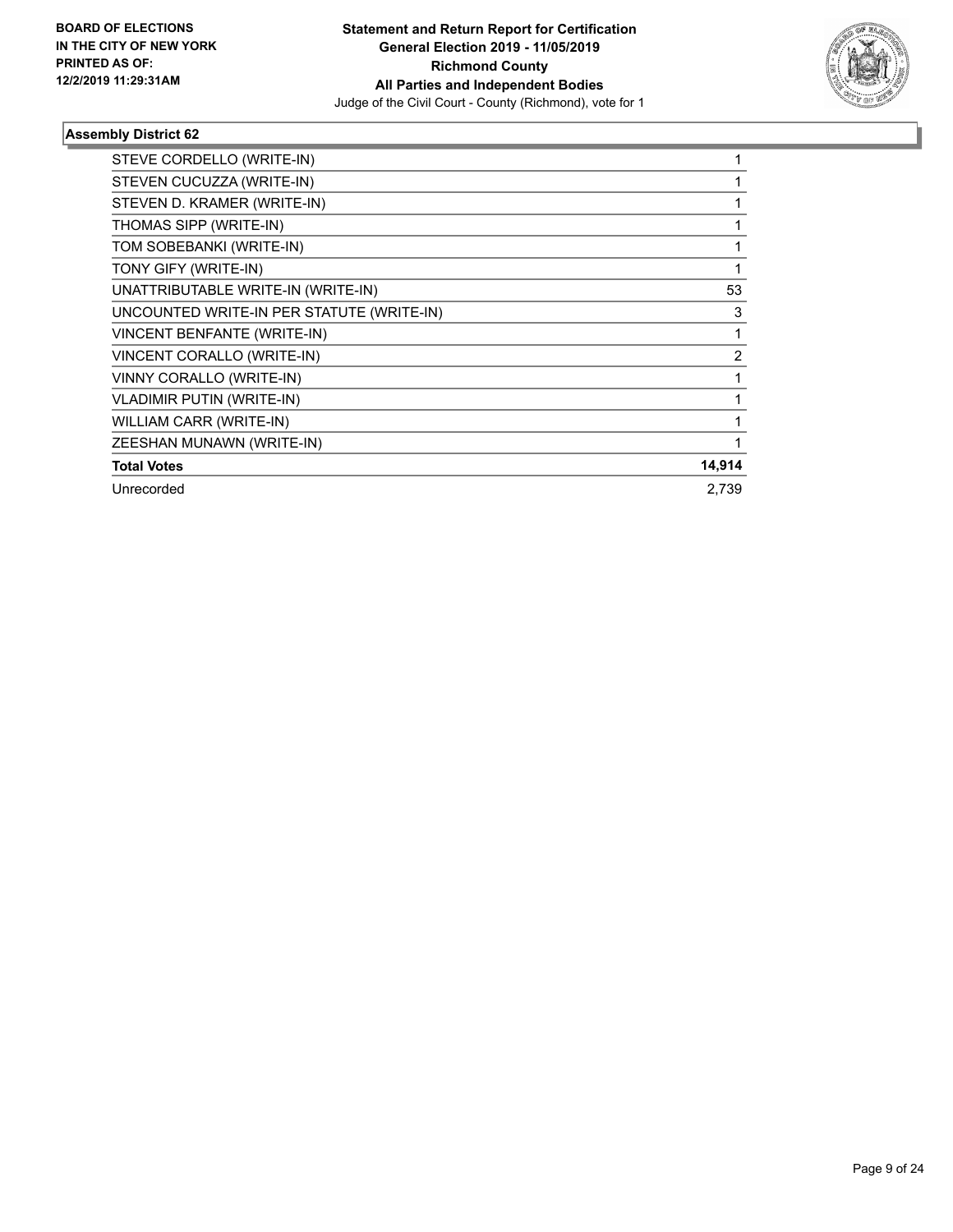

| STEVE CORDELLO (WRITE-IN)                 |                |
|-------------------------------------------|----------------|
| STEVEN CUCUZZA (WRITE-IN)                 |                |
| STEVEN D. KRAMER (WRITE-IN)               |                |
| THOMAS SIPP (WRITE-IN)                    |                |
| TOM SOBEBANKI (WRITE-IN)                  |                |
| TONY GIFY (WRITE-IN)                      |                |
| UNATTRIBUTABLE WRITE-IN (WRITE-IN)        | 53             |
| UNCOUNTED WRITE-IN PER STATUTE (WRITE-IN) | 3              |
| VINCENT BENFANTE (WRITE-IN)               |                |
| VINCENT CORALLO (WRITE-IN)                | $\overline{2}$ |
| VINNY CORALLO (WRITE-IN)                  |                |
| <b>VLADIMIR PUTIN (WRITE-IN)</b>          |                |
| WILLIAM CARR (WRITE-IN)                   |                |
| ZEESHAN MUNAWN (WRITE-IN)                 |                |
| <b>Total Votes</b>                        | 14,914         |
| Unrecorded                                | 2.739          |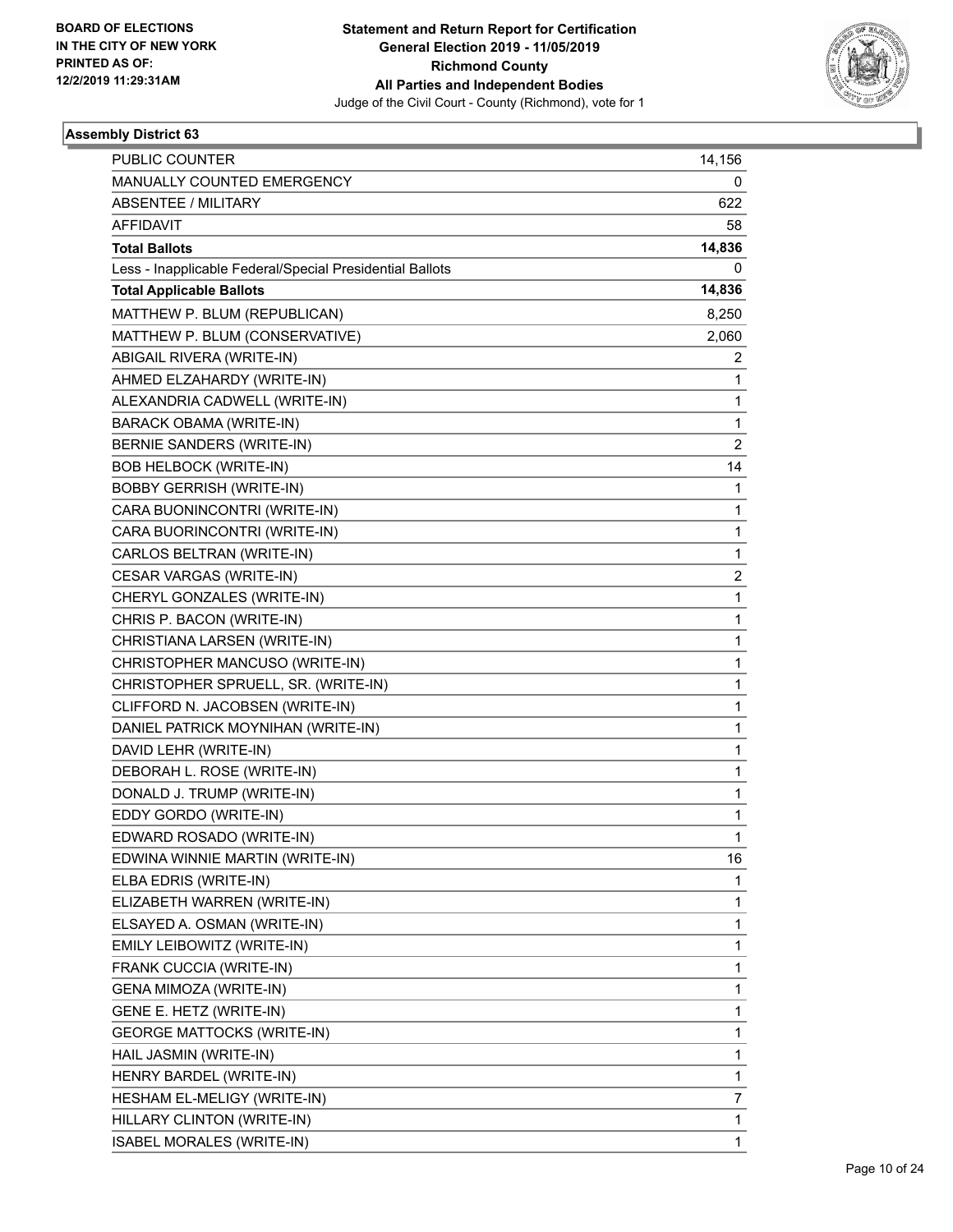

| PUBLIC COUNTER                                           | 14,156         |
|----------------------------------------------------------|----------------|
| MANUALLY COUNTED EMERGENCY                               | 0              |
| <b>ABSENTEE / MILITARY</b>                               | 622            |
| <b>AFFIDAVIT</b>                                         | 58             |
| <b>Total Ballots</b>                                     | 14,836         |
| Less - Inapplicable Federal/Special Presidential Ballots | 0              |
| <b>Total Applicable Ballots</b>                          | 14,836         |
| MATTHEW P. BLUM (REPUBLICAN)                             | 8,250          |
| MATTHEW P. BLUM (CONSERVATIVE)                           | 2,060          |
| ABIGAIL RIVERA (WRITE-IN)                                | 2              |
| AHMED ELZAHARDY (WRITE-IN)                               | 1              |
| ALEXANDRIA CADWELL (WRITE-IN)                            | 1              |
| <b>BARACK OBAMA (WRITE-IN)</b>                           | 1              |
| BERNIE SANDERS (WRITE-IN)                                | $\overline{2}$ |
| <b>BOB HELBOCK (WRITE-IN)</b>                            | 14             |
| <b>BOBBY GERRISH (WRITE-IN)</b>                          | 1              |
| CARA BUONINCONTRI (WRITE-IN)                             | 1              |
| CARA BUORINCONTRI (WRITE-IN)                             | 1              |
| CARLOS BELTRAN (WRITE-IN)                                | 1              |
| CESAR VARGAS (WRITE-IN)                                  | $\overline{2}$ |
| CHERYL GONZALES (WRITE-IN)                               | 1              |
| CHRIS P. BACON (WRITE-IN)                                | 1              |
| CHRISTIANA LARSEN (WRITE-IN)                             | 1              |
| CHRISTOPHER MANCUSO (WRITE-IN)                           | 1              |
| CHRISTOPHER SPRUELL, SR. (WRITE-IN)                      | 1              |
| CLIFFORD N. JACOBSEN (WRITE-IN)                          | 1              |
| DANIEL PATRICK MOYNIHAN (WRITE-IN)                       | 1              |
| DAVID LEHR (WRITE-IN)                                    | 1              |
| DEBORAH L. ROSE (WRITE-IN)                               | 1              |
| DONALD J. TRUMP (WRITE-IN)                               | 1              |
| EDDY GORDO (WRITE-IN)                                    | 1              |
| EDWARD ROSADO (WRITE-IN)                                 | 1              |
| EDWINA WINNIE MARTIN (WRITE-IN)                          | 16             |
| ELBA EDRIS (WRITE-IN)                                    | 1              |
| ELIZABETH WARREN (WRITE-IN)                              | 1              |
| ELSAYED A. OSMAN (WRITE-IN)                              | 1              |
| EMILY LEIBOWITZ (WRITE-IN)                               | 1              |
| FRANK CUCCIA (WRITE-IN)                                  | 1              |
| GENA MIMOZA (WRITE-IN)                                   | 1              |
| GENE E. HETZ (WRITE-IN)                                  | 1              |
| <b>GEORGE MATTOCKS (WRITE-IN)</b>                        | 1              |
| HAIL JASMIN (WRITE-IN)                                   | 1              |
| HENRY BARDEL (WRITE-IN)                                  | 1              |
| HESHAM EL-MELIGY (WRITE-IN)                              | 7              |
| HILLARY CLINTON (WRITE-IN)                               | 1              |
| ISABEL MORALES (WRITE-IN)                                | 1              |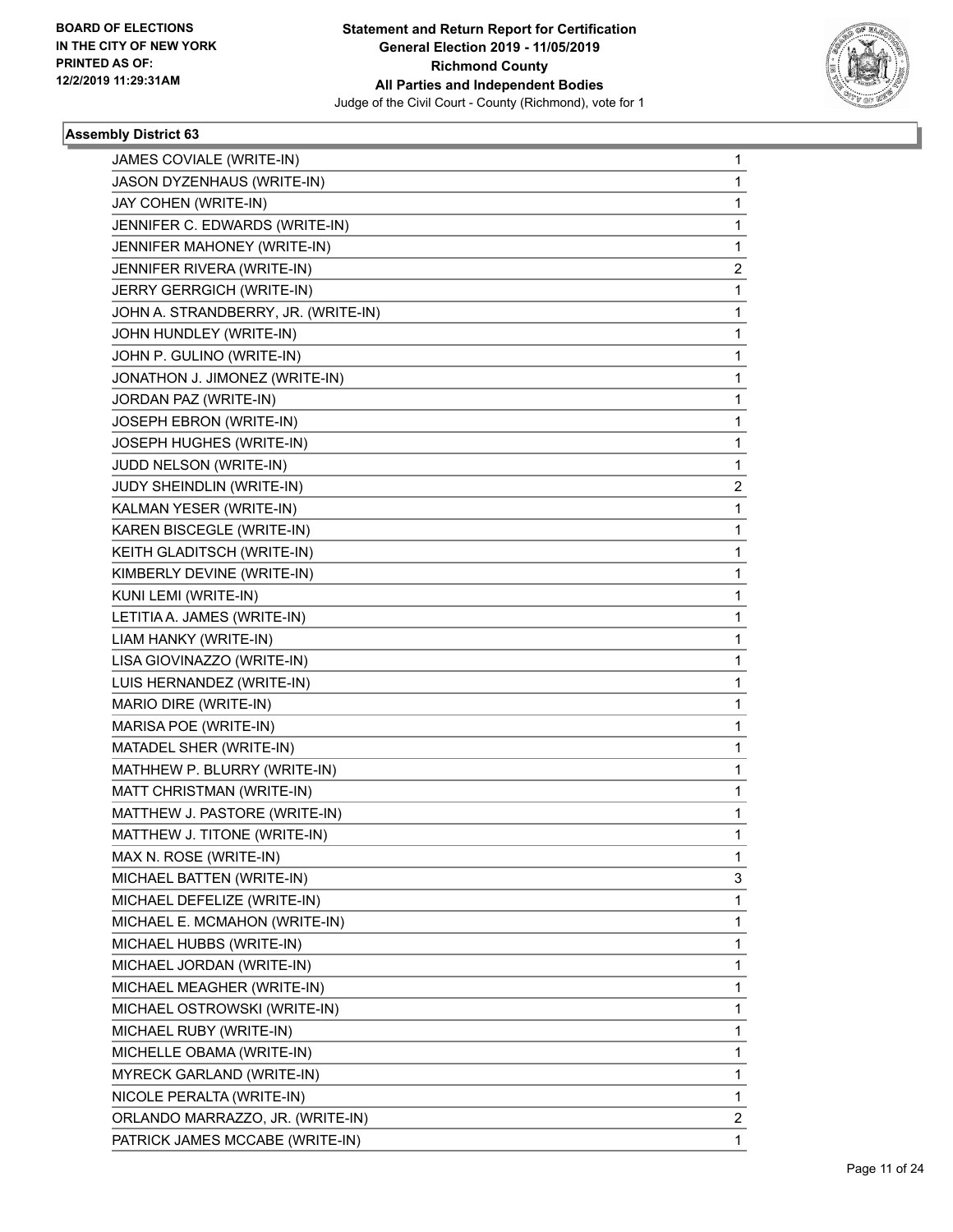

| JAMES COVIALE (WRITE-IN)            | 1              |
|-------------------------------------|----------------|
| JASON DYZENHAUS (WRITE-IN)          | $\mathbf{1}$   |
| JAY COHEN (WRITE-IN)                | 1              |
| JENNIFER C. EDWARDS (WRITE-IN)      | $\mathbf{1}$   |
| JENNIFER MAHONEY (WRITE-IN)         | 1              |
| JENNIFER RIVERA (WRITE-IN)          | 2              |
| JERRY GERRGICH (WRITE-IN)           | $\mathbf{1}$   |
| JOHN A. STRANDBERRY, JR. (WRITE-IN) | $\mathbf{1}$   |
| JOHN HUNDLEY (WRITE-IN)             | 1              |
| JOHN P. GULINO (WRITE-IN)           | $\mathbf{1}$   |
| JONATHON J. JIMONEZ (WRITE-IN)      | 1              |
| JORDAN PAZ (WRITE-IN)               | 1              |
| JOSEPH EBRON (WRITE-IN)             | $\mathbf{1}$   |
| JOSEPH HUGHES (WRITE-IN)            | $\mathbf{1}$   |
| JUDD NELSON (WRITE-IN)              | 1              |
| JUDY SHEINDLIN (WRITE-IN)           | $\overline{2}$ |
| KALMAN YESER (WRITE-IN)             | 1              |
| KAREN BISCEGLE (WRITE-IN)           | 1              |
| KEITH GLADITSCH (WRITE-IN)          | $\mathbf{1}$   |
| KIMBERLY DEVINE (WRITE-IN)          | 1              |
| KUNI LEMI (WRITE-IN)                | 1              |
| LETITIA A. JAMES (WRITE-IN)         | $\mathbf{1}$   |
| LIAM HANKY (WRITE-IN)               | 1              |
| LISA GIOVINAZZO (WRITE-IN)          | 1              |
| LUIS HERNANDEZ (WRITE-IN)           | $\mathbf{1}$   |
| MARIO DIRE (WRITE-IN)               | 1              |
| MARISA POE (WRITE-IN)               | 1              |
| MATADEL SHER (WRITE-IN)             | $\mathbf{1}$   |
| MATHHEW P. BLURRY (WRITE-IN)        | 1              |
| MATT CHRISTMAN (WRITE-IN)           | 1              |
| MATTHEW J. PASTORE (WRITE-IN)       | $\mathbf{1}$   |
| MATTHEW J. TITONE (WRITE-IN)        | 1              |
| MAX N. ROSE (WRITE-IN)              | 1              |
| MICHAEL BATTEN (WRITE-IN)           | 3              |
| MICHAEL DEFELIZE (WRITE-IN)         | $\mathbf{1}$   |
| MICHAEL E. MCMAHON (WRITE-IN)       | 1              |
| MICHAEL HUBBS (WRITE-IN)            | $\mathbf{1}$   |
| MICHAEL JORDAN (WRITE-IN)           | 1              |
| MICHAEL MEAGHER (WRITE-IN)          | 1              |
| MICHAEL OSTROWSKI (WRITE-IN)        | $\mathbf{1}$   |
| MICHAEL RUBY (WRITE-IN)             | $\mathbf{1}$   |
| MICHELLE OBAMA (WRITE-IN)           | 1              |
| MYRECK GARLAND (WRITE-IN)           | $\mathbf{1}$   |
| NICOLE PERALTA (WRITE-IN)           | 1              |
| ORLANDO MARRAZZO, JR. (WRITE-IN)    | 2              |
| PATRICK JAMES MCCABE (WRITE-IN)     | $\mathbf{1}$   |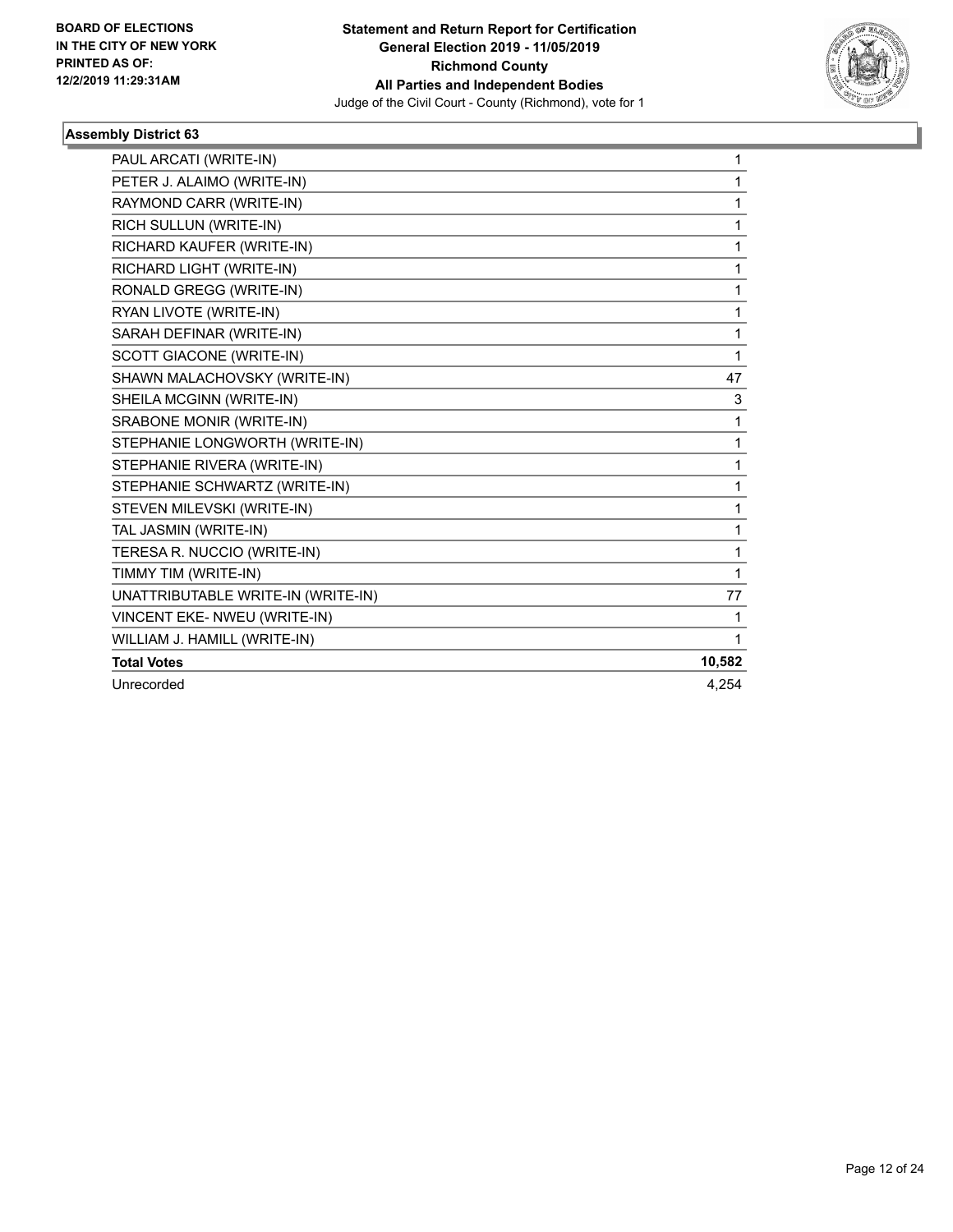

| PAUL ARCATI (WRITE-IN)             | 1      |
|------------------------------------|--------|
| PETER J. ALAIMO (WRITE-IN)         | 1      |
| RAYMOND CARR (WRITE-IN)            | 1      |
| RICH SULLUN (WRITE-IN)             | 1      |
| RICHARD KAUFER (WRITE-IN)          | 1      |
| RICHARD LIGHT (WRITE-IN)           | 1      |
| RONALD GREGG (WRITE-IN)            | 1      |
| RYAN LIVOTE (WRITE-IN)             | 1      |
| SARAH DEFINAR (WRITE-IN)           | 1      |
| <b>SCOTT GIACONE (WRITE-IN)</b>    | 1      |
| SHAWN MALACHOVSKY (WRITE-IN)       | 47     |
| SHEILA MCGINN (WRITE-IN)           | 3      |
| SRABONE MONIR (WRITE-IN)           | 1      |
| STEPHANIE LONGWORTH (WRITE-IN)     | 1      |
| STEPHANIE RIVERA (WRITE-IN)        | 1      |
| STEPHANIE SCHWARTZ (WRITE-IN)      | 1      |
| STEVEN MILEVSKI (WRITE-IN)         | 1      |
| TAL JASMIN (WRITE-IN)              | 1      |
| TERESA R. NUCCIO (WRITE-IN)        | 1      |
| TIMMY TIM (WRITE-IN)               | 1      |
| UNATTRIBUTABLE WRITE-IN (WRITE-IN) | 77     |
| VINCENT EKE- NWEU (WRITE-IN)       | 1      |
| WILLIAM J. HAMILL (WRITE-IN)       | 1      |
| <b>Total Votes</b>                 | 10,582 |
| Unrecorded                         | 4.254  |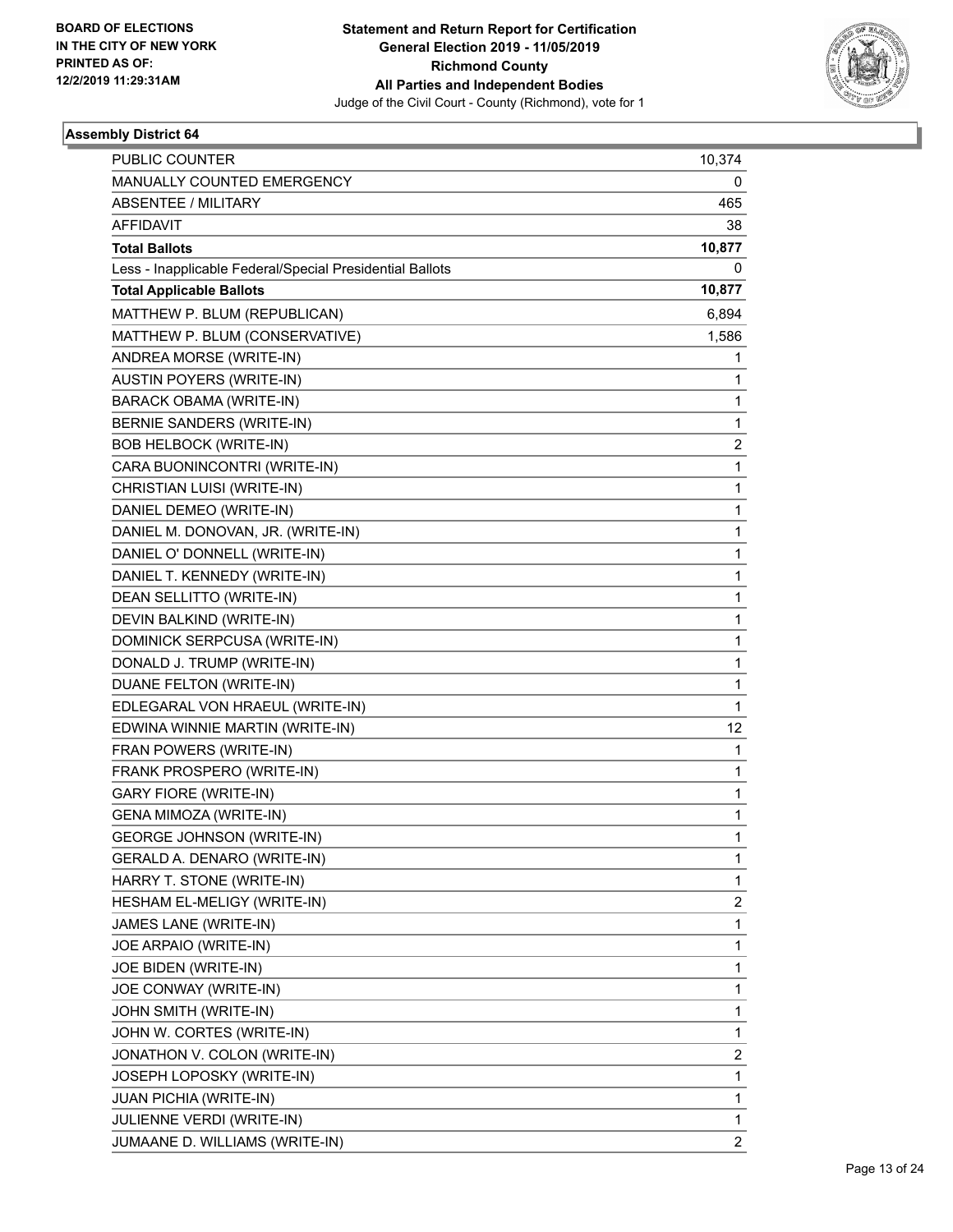

| <b>PUBLIC COUNTER</b>                                    | 10,374                  |
|----------------------------------------------------------|-------------------------|
| MANUALLY COUNTED EMERGENCY                               | 0                       |
| <b>ABSENTEE / MILITARY</b>                               | 465                     |
| AFFIDAVIT                                                | 38                      |
| <b>Total Ballots</b>                                     | 10,877                  |
| Less - Inapplicable Federal/Special Presidential Ballots | 0                       |
| <b>Total Applicable Ballots</b>                          | 10,877                  |
| MATTHEW P. BLUM (REPUBLICAN)                             | 6,894                   |
| MATTHEW P. BLUM (CONSERVATIVE)                           | 1,586                   |
| ANDREA MORSE (WRITE-IN)                                  | 1                       |
| <b>AUSTIN POYERS (WRITE-IN)</b>                          | 1                       |
| BARACK OBAMA (WRITE-IN)                                  | 1                       |
| BERNIE SANDERS (WRITE-IN)                                | $\mathbf{1}$            |
| <b>BOB HELBOCK (WRITE-IN)</b>                            | $\overline{c}$          |
| CARA BUONINCONTRI (WRITE-IN)                             | 1                       |
| CHRISTIAN LUISI (WRITE-IN)                               | $\mathbf{1}$            |
| DANIEL DEMEO (WRITE-IN)                                  | $\mathbf{1}$            |
| DANIEL M. DONOVAN, JR. (WRITE-IN)                        | 1                       |
| DANIEL O' DONNELL (WRITE-IN)                             | $\mathbf{1}$            |
| DANIEL T. KENNEDY (WRITE-IN)                             | $\mathbf{1}$            |
| DEAN SELLITTO (WRITE-IN)                                 | 1                       |
| DEVIN BALKIND (WRITE-IN)                                 | $\mathbf{1}$            |
| DOMINICK SERPCUSA (WRITE-IN)                             | $\mathbf{1}$            |
| DONALD J. TRUMP (WRITE-IN)                               | 1                       |
| DUANE FELTON (WRITE-IN)                                  | $\mathbf{1}$            |
| EDLEGARAL VON HRAEUL (WRITE-IN)                          | $\mathbf{1}$            |
| EDWINA WINNIE MARTIN (WRITE-IN)                          | 12                      |
| FRAN POWERS (WRITE-IN)                                   | $\mathbf{1}$            |
| FRANK PROSPERO (WRITE-IN)                                | $\mathbf{1}$            |
| <b>GARY FIORE (WRITE-IN)</b>                             | 1                       |
| GENA MIMOZA (WRITE-IN)                                   | $\mathbf{1}$            |
| <b>GEORGE JOHNSON (WRITE-IN)</b>                         | 1                       |
| GERALD A. DENARO (WRITE-IN)                              | 1                       |
| HARRY T. STONE (WRITE-IN)                                | $\mathbf{1}$            |
| HESHAM EL-MELIGY (WRITE-IN)                              | $\overline{\mathbf{c}}$ |
| JAMES LANE (WRITE-IN)                                    | $\mathbf{1}$            |
| JOE ARPAIO (WRITE-IN)                                    | $\mathbf{1}$            |
| JOE BIDEN (WRITE-IN)                                     | $\mathbf{1}$            |
| JOE CONWAY (WRITE-IN)                                    | 1                       |
| JOHN SMITH (WRITE-IN)                                    | $\mathbf{1}$            |
| JOHN W. CORTES (WRITE-IN)                                | $\mathbf{1}$            |
| JONATHON V. COLON (WRITE-IN)                             | 2                       |
| JOSEPH LOPOSKY (WRITE-IN)                                | $\mathbf{1}$            |
| JUAN PICHIA (WRITE-IN)                                   | $\mathbf{1}$            |
| JULIENNE VERDI (WRITE-IN)                                | 1                       |
| JUMAANE D. WILLIAMS (WRITE-IN)                           | $\overline{c}$          |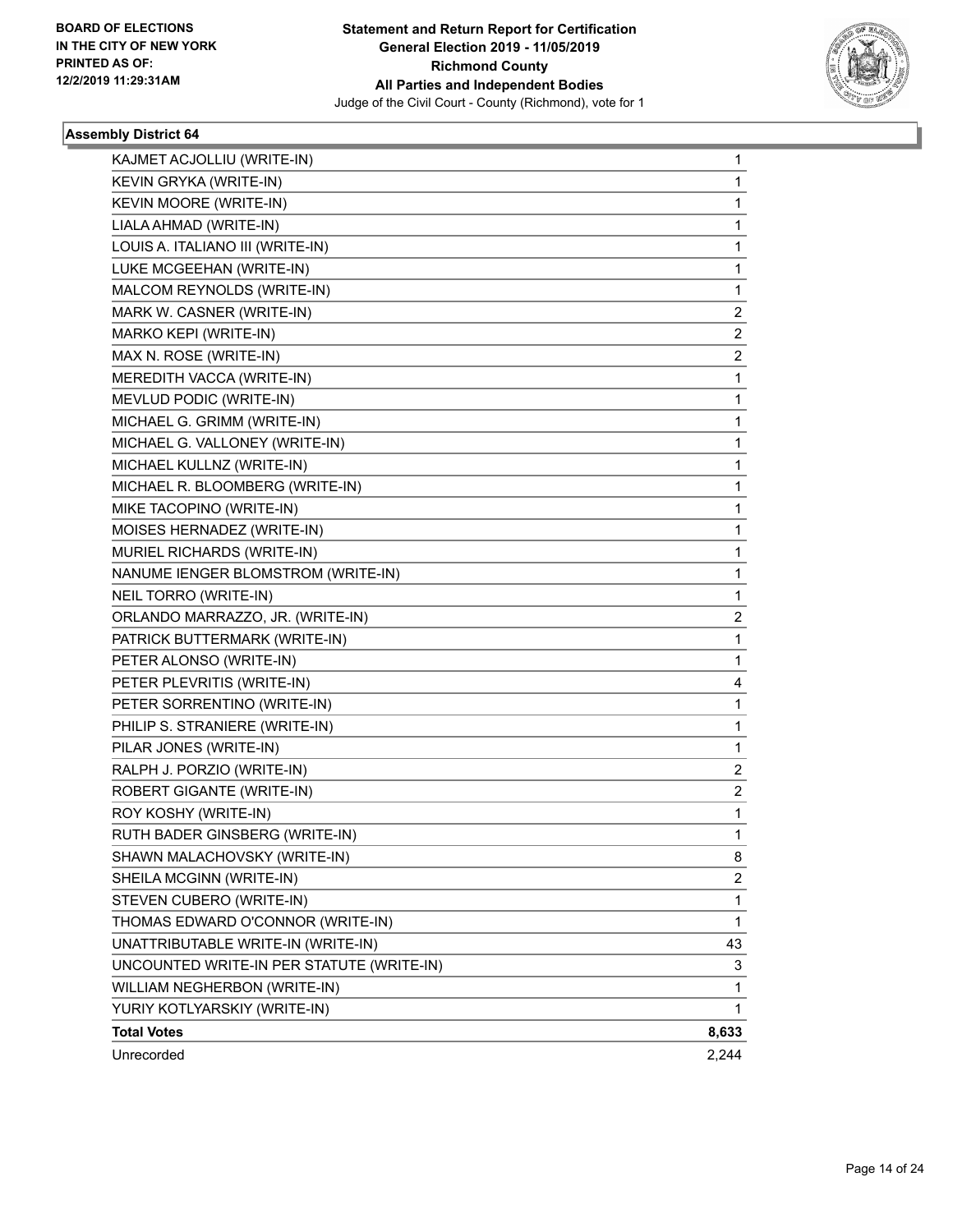

| KAJMET ACJOLLIU (WRITE-IN)                | 1                       |
|-------------------------------------------|-------------------------|
| KEVIN GRYKA (WRITE-IN)                    | 1                       |
| KEVIN MOORE (WRITE-IN)                    | 1                       |
| LIALA AHMAD (WRITE-IN)                    | 1                       |
| LOUIS A. ITALIANO III (WRITE-IN)          | 1                       |
| LUKE MCGEEHAN (WRITE-IN)                  | 1                       |
| MALCOM REYNOLDS (WRITE-IN)                | 1                       |
| MARK W. CASNER (WRITE-IN)                 | 2                       |
| MARKO KEPI (WRITE-IN)                     | 2                       |
| MAX N. ROSE (WRITE-IN)                    | $\overline{\mathbf{c}}$ |
| MEREDITH VACCA (WRITE-IN)                 | 1                       |
| MEVLUD PODIC (WRITE-IN)                   | 1                       |
| MICHAEL G. GRIMM (WRITE-IN)               | 1                       |
| MICHAEL G. VALLONEY (WRITE-IN)            | 1                       |
| MICHAEL KULLNZ (WRITE-IN)                 | 1                       |
| MICHAEL R. BLOOMBERG (WRITE-IN)           | 1                       |
| MIKE TACOPINO (WRITE-IN)                  | 1                       |
| MOISES HERNADEZ (WRITE-IN)                | 1                       |
| MURIEL RICHARDS (WRITE-IN)                | 1                       |
| NANUME IENGER BLOMSTROM (WRITE-IN)        | 1                       |
| NEIL TORRO (WRITE-IN)                     | 1                       |
| ORLANDO MARRAZZO, JR. (WRITE-IN)          | $\overline{\mathbf{c}}$ |
| PATRICK BUTTERMARK (WRITE-IN)             | 1                       |
| PETER ALONSO (WRITE-IN)                   | 1                       |
| PETER PLEVRITIS (WRITE-IN)                | 4                       |
| PETER SORRENTINO (WRITE-IN)               | 1                       |
| PHILIP S. STRANIERE (WRITE-IN)            | 1                       |
| PILAR JONES (WRITE-IN)                    | 1                       |
| RALPH J. PORZIO (WRITE-IN)                | 2                       |
| ROBERT GIGANTE (WRITE-IN)                 | 2                       |
| ROY KOSHY (WRITE-IN)                      | $\mathbf{1}$            |
| RUTH BADER GINSBERG (WRITE-IN)            | $\mathbf{1}$            |
| SHAWN MALACHOVSKY (WRITE-IN)              | 8                       |
| SHEILA MCGINN (WRITE-IN)                  | 2                       |
| STEVEN CUBERO (WRITE-IN)                  | 1                       |
| THOMAS EDWARD O'CONNOR (WRITE-IN)         | 1                       |
| UNATTRIBUTABLE WRITE-IN (WRITE-IN)        | 43                      |
| UNCOUNTED WRITE-IN PER STATUTE (WRITE-IN) | 3                       |
| WILLIAM NEGHERBON (WRITE-IN)              | 1                       |
| YURIY KOTLYARSKIY (WRITE-IN)              | 1                       |
| <b>Total Votes</b>                        | 8,633                   |
| Unrecorded                                | 2,244                   |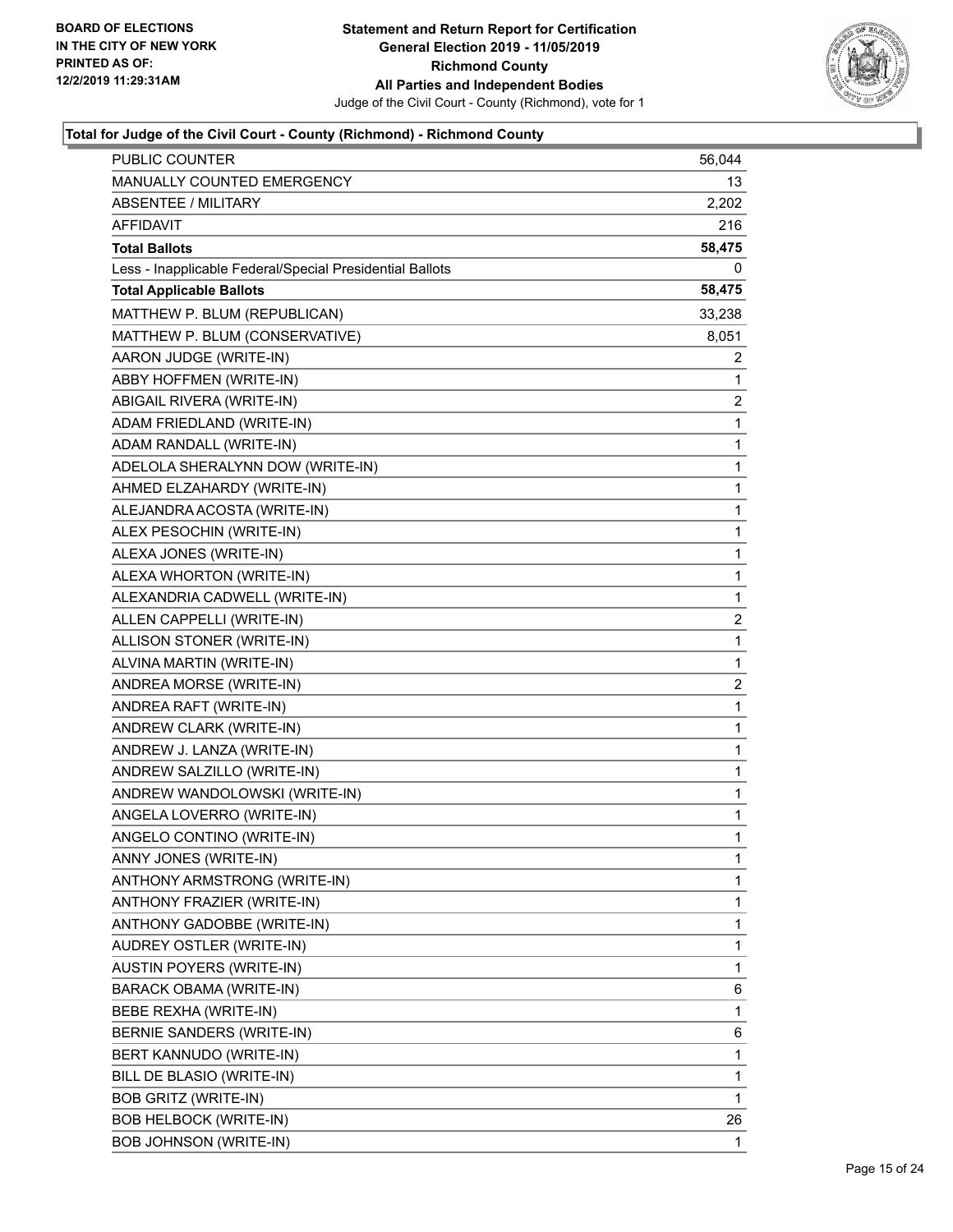

| PUBLIC COUNTER                                           | 56,044                  |
|----------------------------------------------------------|-------------------------|
| MANUALLY COUNTED EMERGENCY                               | 13                      |
| <b>ABSENTEE / MILITARY</b>                               | 2,202                   |
| AFFIDAVIT                                                | 216                     |
| <b>Total Ballots</b>                                     | 58,475                  |
| Less - Inapplicable Federal/Special Presidential Ballots | 0                       |
| <b>Total Applicable Ballots</b>                          | 58,475                  |
| MATTHEW P. BLUM (REPUBLICAN)                             | 33,238                  |
| MATTHEW P. BLUM (CONSERVATIVE)                           | 8,051                   |
| AARON JUDGE (WRITE-IN)                                   | 2                       |
| ABBY HOFFMEN (WRITE-IN)                                  | 1                       |
| ABIGAIL RIVERA (WRITE-IN)                                | 2                       |
| ADAM FRIEDLAND (WRITE-IN)                                | $\mathbf{1}$            |
| ADAM RANDALL (WRITE-IN)                                  | $\mathbf{1}$            |
| ADELOLA SHERALYNN DOW (WRITE-IN)                         | 1                       |
| AHMED ELZAHARDY (WRITE-IN)                               | 1                       |
| ALEJANDRA ACOSTA (WRITE-IN)                              | 1                       |
| ALEX PESOCHIN (WRITE-IN)                                 | 1                       |
| ALEXA JONES (WRITE-IN)                                   | 1                       |
| ALEXA WHORTON (WRITE-IN)                                 | $\mathbf{1}$            |
| ALEXANDRIA CADWELL (WRITE-IN)                            | 1                       |
| ALLEN CAPPELLI (WRITE-IN)                                | $\overline{\mathbf{c}}$ |
| ALLISON STONER (WRITE-IN)                                | 1                       |
| ALVINA MARTIN (WRITE-IN)                                 | 1                       |
| ANDREA MORSE (WRITE-IN)                                  | $\overline{2}$          |
| ANDREA RAFT (WRITE-IN)                                   | $\mathbf{1}$            |
| ANDREW CLARK (WRITE-IN)                                  | 1                       |
| ANDREW J. LANZA (WRITE-IN)                               | 1                       |
| ANDREW SALZILLO (WRITE-IN)                               | 1                       |
| ANDREW WANDOLOWSKI (WRITE-IN)                            | 1                       |
| ANGELA LOVERRO (WRITE-IN)                                | 1                       |
| ANGELO CONTINO (WRITE-IN)                                | $\mathbf{1}$            |
| ANNY JONES (WRITE-IN)                                    | 1                       |
| ANTHONY ARMSTRONG (WRITE-IN)                             | 1                       |
| ANTHONY FRAZIER (WRITE-IN)                               | 1                       |
| ANTHONY GADOBBE (WRITE-IN)                               | 1                       |
| AUDREY OSTLER (WRITE-IN)                                 | 1                       |
| <b>AUSTIN POYERS (WRITE-IN)</b>                          | 1                       |
| BARACK OBAMA (WRITE-IN)                                  | 6                       |
| BEBE REXHA (WRITE-IN)                                    | 1                       |
| BERNIE SANDERS (WRITE-IN)                                | 6                       |
| BERT KANNUDO (WRITE-IN)                                  | 1                       |
| BILL DE BLASIO (WRITE-IN)                                | 1                       |
| <b>BOB GRITZ (WRITE-IN)</b>                              | 1                       |
| <b>BOB HELBOCK (WRITE-IN)</b>                            | 26                      |
| <b>BOB JOHNSON (WRITE-IN)</b>                            | 1                       |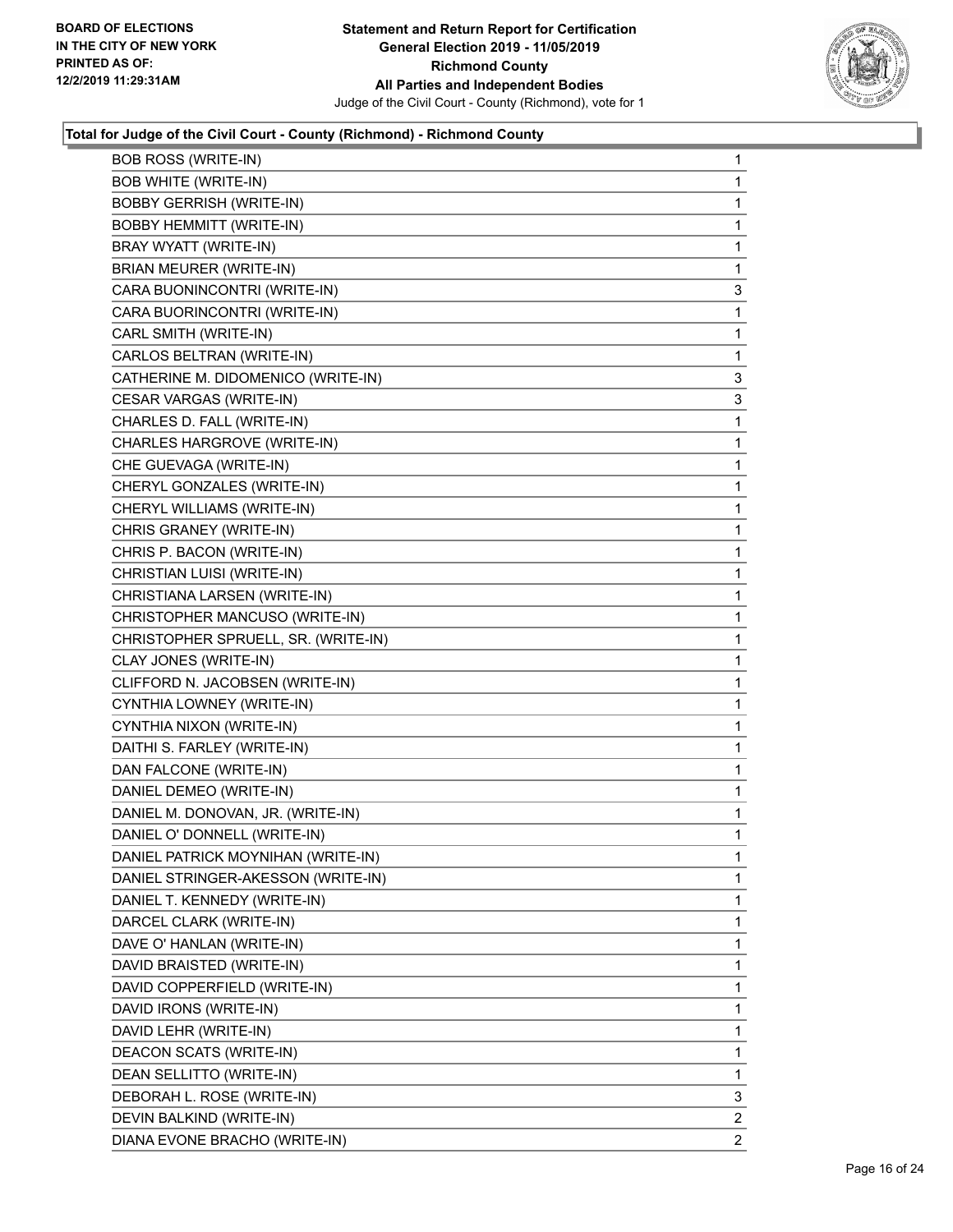

| <b>BOB ROSS (WRITE-IN)</b>          | 1 |
|-------------------------------------|---|
| <b>BOB WHITE (WRITE-IN)</b>         | 1 |
| <b>BOBBY GERRISH (WRITE-IN)</b>     | 1 |
| <b>BOBBY HEMMITT (WRITE-IN)</b>     | 1 |
| BRAY WYATT (WRITE-IN)               | 1 |
| BRIAN MEURER (WRITE-IN)             | 1 |
| CARA BUONINCONTRI (WRITE-IN)        | 3 |
| CARA BUORINCONTRI (WRITE-IN)        | 1 |
| CARL SMITH (WRITE-IN)               | 1 |
| CARLOS BELTRAN (WRITE-IN)           | 1 |
| CATHERINE M. DIDOMENICO (WRITE-IN)  | 3 |
| CESAR VARGAS (WRITE-IN)             | 3 |
| CHARLES D. FALL (WRITE-IN)          | 1 |
| CHARLES HARGROVE (WRITE-IN)         | 1 |
| CHE GUEVAGA (WRITE-IN)              | 1 |
| CHERYL GONZALES (WRITE-IN)          | 1 |
| CHERYL WILLIAMS (WRITE-IN)          | 1 |
| CHRIS GRANEY (WRITE-IN)             | 1 |
| CHRIS P. BACON (WRITE-IN)           | 1 |
| CHRISTIAN LUISI (WRITE-IN)          | 1 |
| CHRISTIANA LARSEN (WRITE-IN)        | 1 |
| CHRISTOPHER MANCUSO (WRITE-IN)      | 1 |
| CHRISTOPHER SPRUELL, SR. (WRITE-IN) | 1 |
| CLAY JONES (WRITE-IN)               | 1 |
| CLIFFORD N. JACOBSEN (WRITE-IN)     | 1 |
| CYNTHIA LOWNEY (WRITE-IN)           | 1 |
| CYNTHIA NIXON (WRITE-IN)            | 1 |
| DAITHI S. FARLEY (WRITE-IN)         | 1 |
| DAN FALCONE (WRITE-IN)              | 1 |
| DANIEL DEMEO (WRITE-IN)             | 1 |
| DANIEL M. DONOVAN, JR. (WRITE-IN)   | 1 |
| DANIEL O' DONNELL (WRITE-IN)        | 1 |
| DANIEL PATRICK MOYNIHAN (WRITE-IN)  | 1 |
| DANIEL STRINGER-AKESSON (WRITE-IN)  | 1 |
| DANIEL T. KENNEDY (WRITE-IN)        | 1 |
| DARCEL CLARK (WRITE-IN)             | 1 |
| DAVE O' HANLAN (WRITE-IN)           | 1 |
| DAVID BRAISTED (WRITE-IN)           | 1 |
| DAVID COPPERFIELD (WRITE-IN)        | 1 |
| DAVID IRONS (WRITE-IN)              | 1 |
| DAVID LEHR (WRITE-IN)               | 1 |
| DEACON SCATS (WRITE-IN)             | 1 |
| DEAN SELLITTO (WRITE-IN)            | 1 |
| DEBORAH L. ROSE (WRITE-IN)          | 3 |
|                                     |   |
| DEVIN BALKIND (WRITE-IN)            | 2 |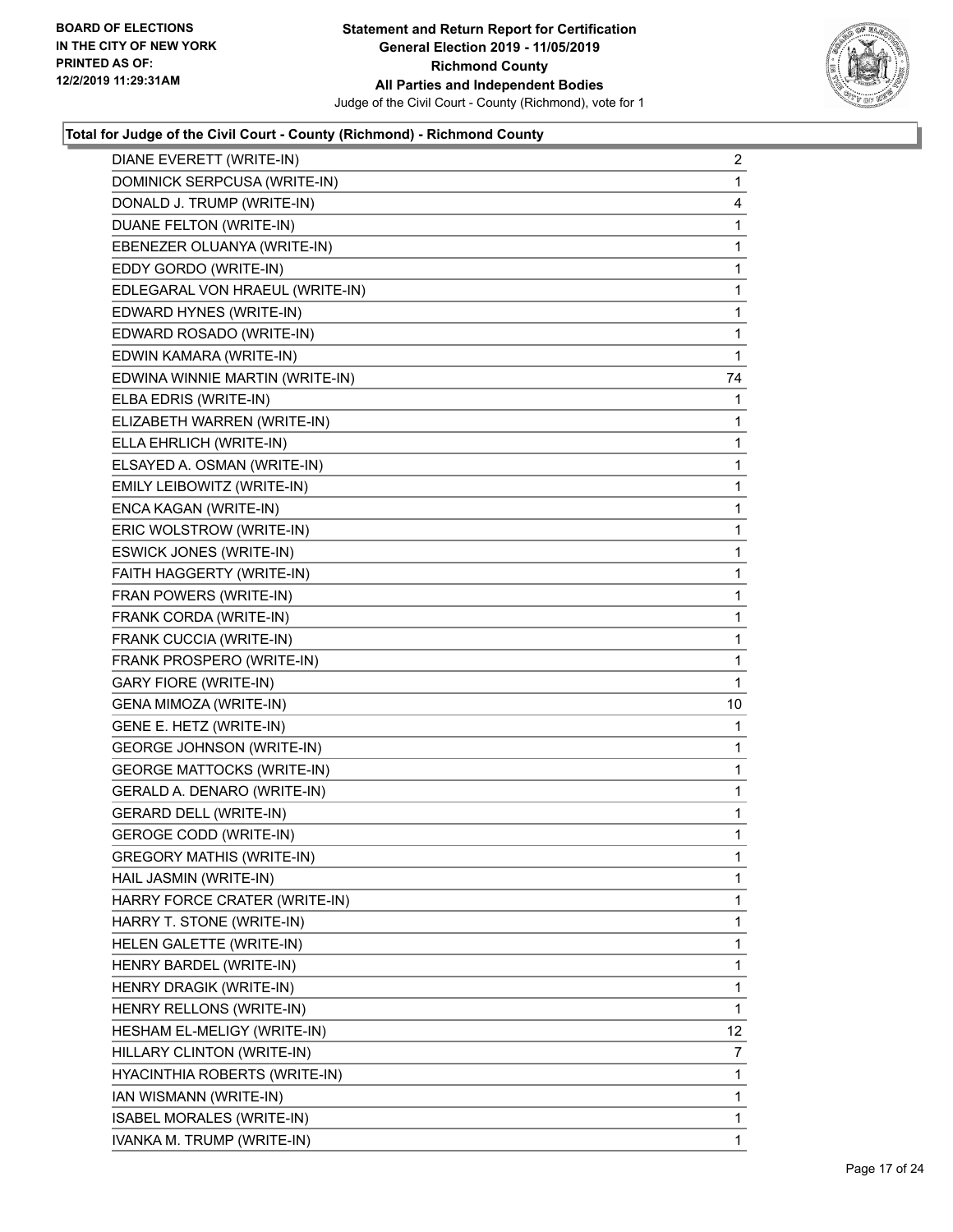

| DIANE EVERETT (WRITE-IN)          | $\overline{c}$ |
|-----------------------------------|----------------|
| DOMINICK SERPCUSA (WRITE-IN)      | 1              |
| DONALD J. TRUMP (WRITE-IN)        | 4              |
| DUANE FELTON (WRITE-IN)           | $\mathbf 1$    |
| EBENEZER OLUANYA (WRITE-IN)       | 1              |
| EDDY GORDO (WRITE-IN)             | 1              |
| EDLEGARAL VON HRAEUL (WRITE-IN)   | $\mathbf 1$    |
| EDWARD HYNES (WRITE-IN)           | 1              |
| EDWARD ROSADO (WRITE-IN)          | 1              |
| EDWIN KAMARA (WRITE-IN)           | 1              |
| EDWINA WINNIE MARTIN (WRITE-IN)   | 74             |
| ELBA EDRIS (WRITE-IN)             | 1              |
| ELIZABETH WARREN (WRITE-IN)       | 1              |
| ELLA EHRLICH (WRITE-IN)           | 1              |
| ELSAYED A. OSMAN (WRITE-IN)       | 1              |
| EMILY LEIBOWITZ (WRITE-IN)        | $\mathbf 1$    |
| ENCA KAGAN (WRITE-IN)             | 1              |
| ERIC WOLSTROW (WRITE-IN)          | 1              |
| ESWICK JONES (WRITE-IN)           | $\mathbf 1$    |
| FAITH HAGGERTY (WRITE-IN)         | 1              |
| FRAN POWERS (WRITE-IN)            | 1              |
| FRANK CORDA (WRITE-IN)            | $\mathbf 1$    |
| FRANK CUCCIA (WRITE-IN)           | 1              |
| FRANK PROSPERO (WRITE-IN)         | 1              |
| <b>GARY FIORE (WRITE-IN)</b>      | 1              |
| GENA MIMOZA (WRITE-IN)            | 10             |
| GENE E. HETZ (WRITE-IN)           | 1              |
| <b>GEORGE JOHNSON (WRITE-IN)</b>  | $\mathbf 1$    |
| <b>GEORGE MATTOCKS (WRITE-IN)</b> | 1              |
| GERALD A. DENARO (WRITE-IN)       | 1              |
| <b>GERARD DELL (WRITE-IN)</b>     | $\mathbf 1$    |
| <b>GEROGE CODD (WRITE-IN)</b>     | 1              |
| GREGORY MATHIS (WRITE-IN)         | $\mathbf 1$    |
| HAIL JASMIN (WRITE-IN)            | 1              |
| HARRY FORCE CRATER (WRITE-IN)     | 1              |
| HARRY T. STONE (WRITE-IN)         | 1              |
| HELEN GALETTE (WRITE-IN)          | 1              |
| HENRY BARDEL (WRITE-IN)           | 1              |
| HENRY DRAGIK (WRITE-IN)           | $\mathbf{1}$   |
| HENRY RELLONS (WRITE-IN)          | 1              |
| HESHAM EL-MELIGY (WRITE-IN)       | 12             |
| HILLARY CLINTON (WRITE-IN)        | 7              |
| HYACINTHIA ROBERTS (WRITE-IN)     | 1              |
| IAN WISMANN (WRITE-IN)            | 1              |
| ISABEL MORALES (WRITE-IN)         | $\mathbf{1}$   |
| IVANKA M. TRUMP (WRITE-IN)        | 1              |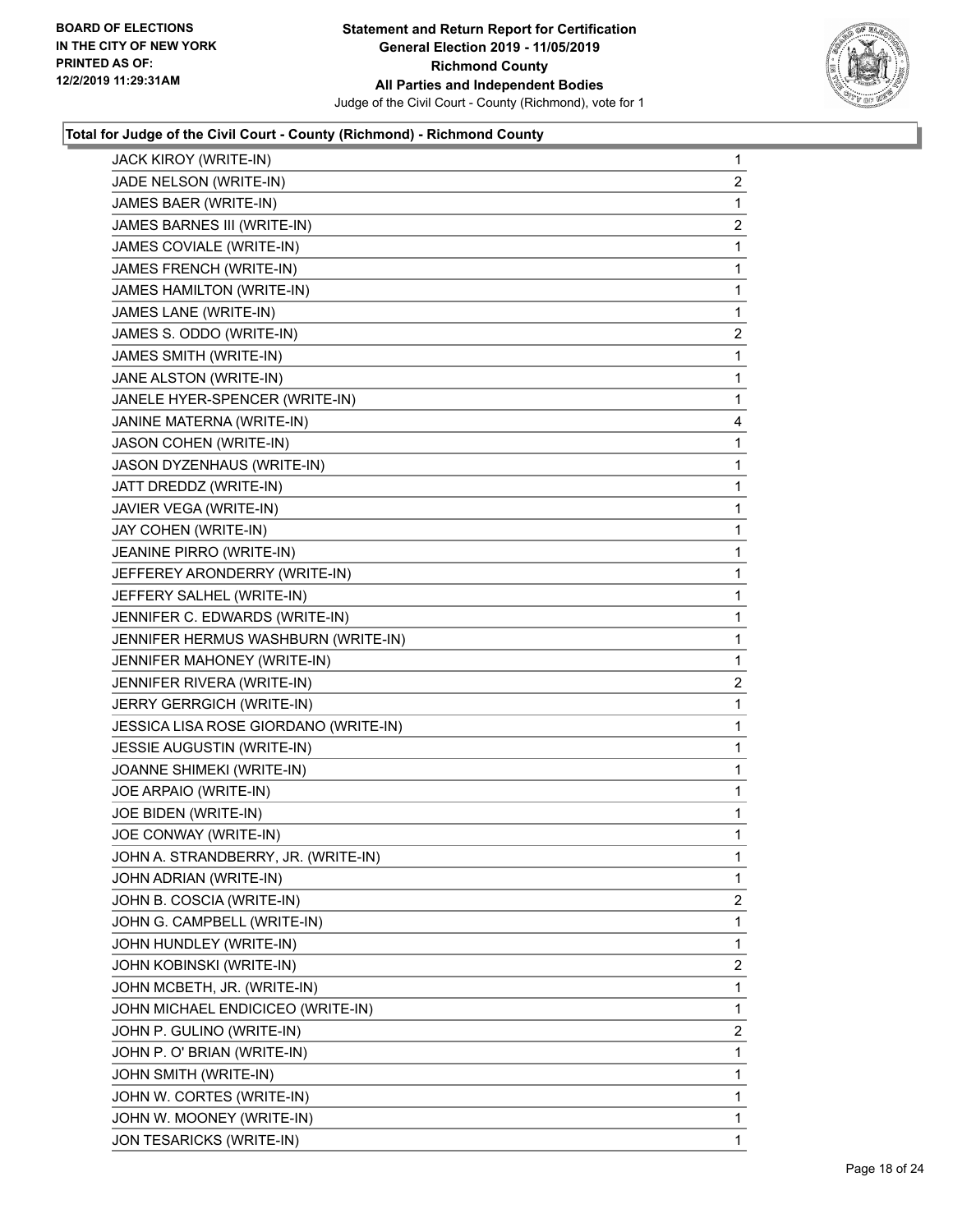

| JACK KIROY (WRITE-IN)                 | 1                       |
|---------------------------------------|-------------------------|
| JADE NELSON (WRITE-IN)                | $\overline{2}$          |
| JAMES BAER (WRITE-IN)                 | 1                       |
| JAMES BARNES III (WRITE-IN)           | $\overline{c}$          |
| JAMES COVIALE (WRITE-IN)              | 1                       |
| JAMES FRENCH (WRITE-IN)               | 1                       |
| JAMES HAMILTON (WRITE-IN)             | 1                       |
| JAMES LANE (WRITE-IN)                 | 1                       |
| JAMES S. ODDO (WRITE-IN)              | 2                       |
| JAMES SMITH (WRITE-IN)                | 1                       |
| JANE ALSTON (WRITE-IN)                | 1                       |
| JANELE HYER-SPENCER (WRITE-IN)        | 1                       |
| JANINE MATERNA (WRITE-IN)             | 4                       |
| JASON COHEN (WRITE-IN)                | 1                       |
| JASON DYZENHAUS (WRITE-IN)            | 1                       |
| JATT DREDDZ (WRITE-IN)                | 1                       |
| JAVIER VEGA (WRITE-IN)                | 1                       |
| JAY COHEN (WRITE-IN)                  | 1                       |
| JEANINE PIRRO (WRITE-IN)              | 1                       |
| JEFFEREY ARONDERRY (WRITE-IN)         | 1                       |
| JEFFERY SALHEL (WRITE-IN)             | 1                       |
| JENNIFER C. EDWARDS (WRITE-IN)        | 1                       |
| JENNIFER HERMUS WASHBURN (WRITE-IN)   | 1                       |
| JENNIFER MAHONEY (WRITE-IN)           | 1                       |
| JENNIFER RIVERA (WRITE-IN)            | $\overline{\mathbf{c}}$ |
| JERRY GERRGICH (WRITE-IN)             | 1                       |
| JESSICA LISA ROSE GIORDANO (WRITE-IN) | 1                       |
| JESSIE AUGUSTIN (WRITE-IN)            | 1                       |
| JOANNE SHIMEKI (WRITE-IN)             | 1                       |
| JOE ARPAIO (WRITE-IN)                 | 1                       |
| JOE BIDEN (WRITE-IN)                  | 1                       |
| JOE CONWAY (WRITE-IN)                 | 1                       |
| JOHN A. STRANDBERRY, JR. (WRITE-IN)   | 1                       |
| JOHN ADRIAN (WRITE-IN)                | 1                       |
| JOHN B. COSCIA (WRITE-IN)             | $\overline{2}$          |
| JOHN G. CAMPBELL (WRITE-IN)           | 1                       |
| JOHN HUNDLEY (WRITE-IN)               | 1                       |
| JOHN KOBINSKI (WRITE-IN)              | $\overline{2}$          |
| JOHN MCBETH, JR. (WRITE-IN)           | 1                       |
| JOHN MICHAEL ENDICICEO (WRITE-IN)     | 1                       |
| JOHN P. GULINO (WRITE-IN)             | $\overline{2}$          |
| JOHN P. O' BRIAN (WRITE-IN)           | 1                       |
| JOHN SMITH (WRITE-IN)                 | 1                       |
| JOHN W. CORTES (WRITE-IN)             | 1                       |
| JOHN W. MOONEY (WRITE-IN)             | 1                       |
| JON TESARICKS (WRITE-IN)              | 1                       |
|                                       |                         |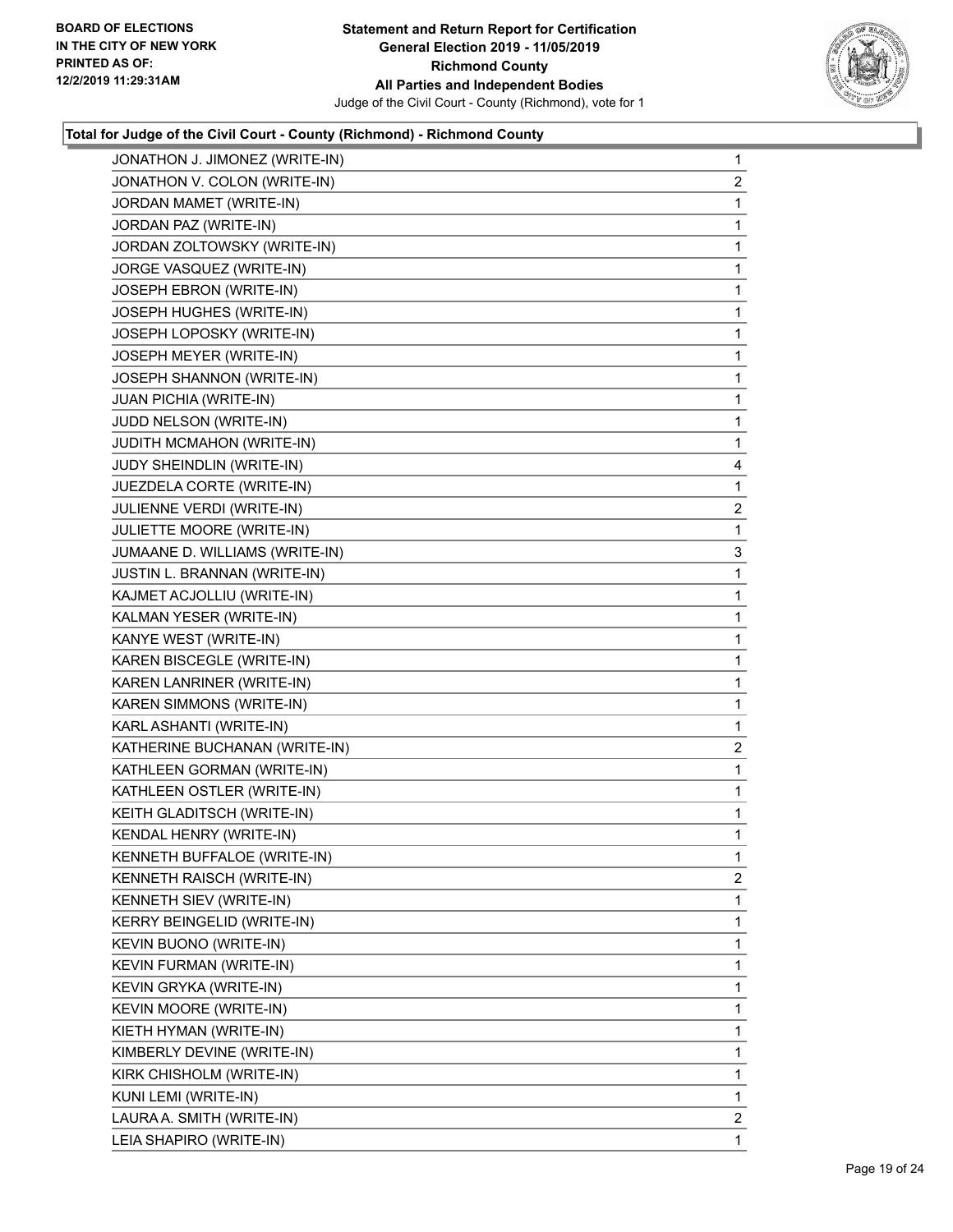

|                         | JONATHON J. JIMONEZ (WRITE-IN) | $\mathbf{1}$   |
|-------------------------|--------------------------------|----------------|
|                         | JONATHON V. COLON (WRITE-IN)   | $\overline{2}$ |
|                         | JORDAN MAMET (WRITE-IN)        | 1              |
| JORDAN PAZ (WRITE-IN)   |                                | 1              |
|                         | JORDAN ZOLTOWSKY (WRITE-IN)    | 1              |
|                         | JORGE VASQUEZ (WRITE-IN)       | 1              |
|                         | JOSEPH EBRON (WRITE-IN)        | 1              |
|                         | JOSEPH HUGHES (WRITE-IN)       | 1              |
|                         | JOSEPH LOPOSKY (WRITE-IN)      | 1              |
|                         | JOSEPH MEYER (WRITE-IN)        | 1              |
|                         | JOSEPH SHANNON (WRITE-IN)      | 1              |
| JUAN PICHIA (WRITE-IN)  |                                | 1              |
| JUDD NELSON (WRITE-IN)  |                                | 1              |
|                         | JUDITH MCMAHON (WRITE-IN)      | 1              |
|                         | JUDY SHEINDLIN (WRITE-IN)      | 4              |
|                         | JUEZDELA CORTE (WRITE-IN)      | 1              |
|                         | JULIENNE VERDI (WRITE-IN)      | 2              |
|                         | JULIETTE MOORE (WRITE-IN)      | 1              |
|                         | JUMAANE D. WILLIAMS (WRITE-IN) | 3              |
|                         | JUSTIN L. BRANNAN (WRITE-IN)   | 1              |
|                         | KAJMET ACJOLLIU (WRITE-IN)     | 1              |
|                         | KALMAN YESER (WRITE-IN)        | 1              |
| KANYE WEST (WRITE-IN)   |                                | 1              |
|                         | KAREN BISCEGLE (WRITE-IN)      | 1              |
|                         | KAREN LANRINER (WRITE-IN)      | 1              |
|                         | KAREN SIMMONS (WRITE-IN)       | 1              |
| KARL ASHANTI (WRITE-IN) |                                | 1              |
|                         | KATHERINE BUCHANAN (WRITE-IN)  | $\overline{2}$ |
|                         | KATHLEEN GORMAN (WRITE-IN)     | 1              |
|                         | KATHLEEN OSTLER (WRITE-IN)     | $\mathbf{1}$   |
|                         | KEITH GLADITSCH (WRITE-IN)     | 1              |
|                         | KENDAL HENRY (WRITE-IN)        | 1              |
|                         | KENNETH BUFFALOE (WRITE-IN)    | 1              |
|                         | KENNETH RAISCH (WRITE-IN)      | 2              |
| KENNETH SIEV (WRITE-IN) |                                | 1              |
|                         | KERRY BEINGELID (WRITE-IN)     | 1              |
| KEVIN BUONO (WRITE-IN)  |                                | 1              |
|                         | KEVIN FURMAN (WRITE-IN)        | 1              |
| KEVIN GRYKA (WRITE-IN)  |                                | 1              |
| KEVIN MOORE (WRITE-IN)  |                                | 1              |
| KIETH HYMAN (WRITE-IN)  |                                | 1              |
|                         | KIMBERLY DEVINE (WRITE-IN)     | 1              |
|                         | KIRK CHISHOLM (WRITE-IN)       | 1              |
| KUNI LEMI (WRITE-IN)    |                                | 1              |
|                         | LAURA A. SMITH (WRITE-IN)      | 2              |
| LEIA SHAPIRO (WRITE-IN) |                                | 1              |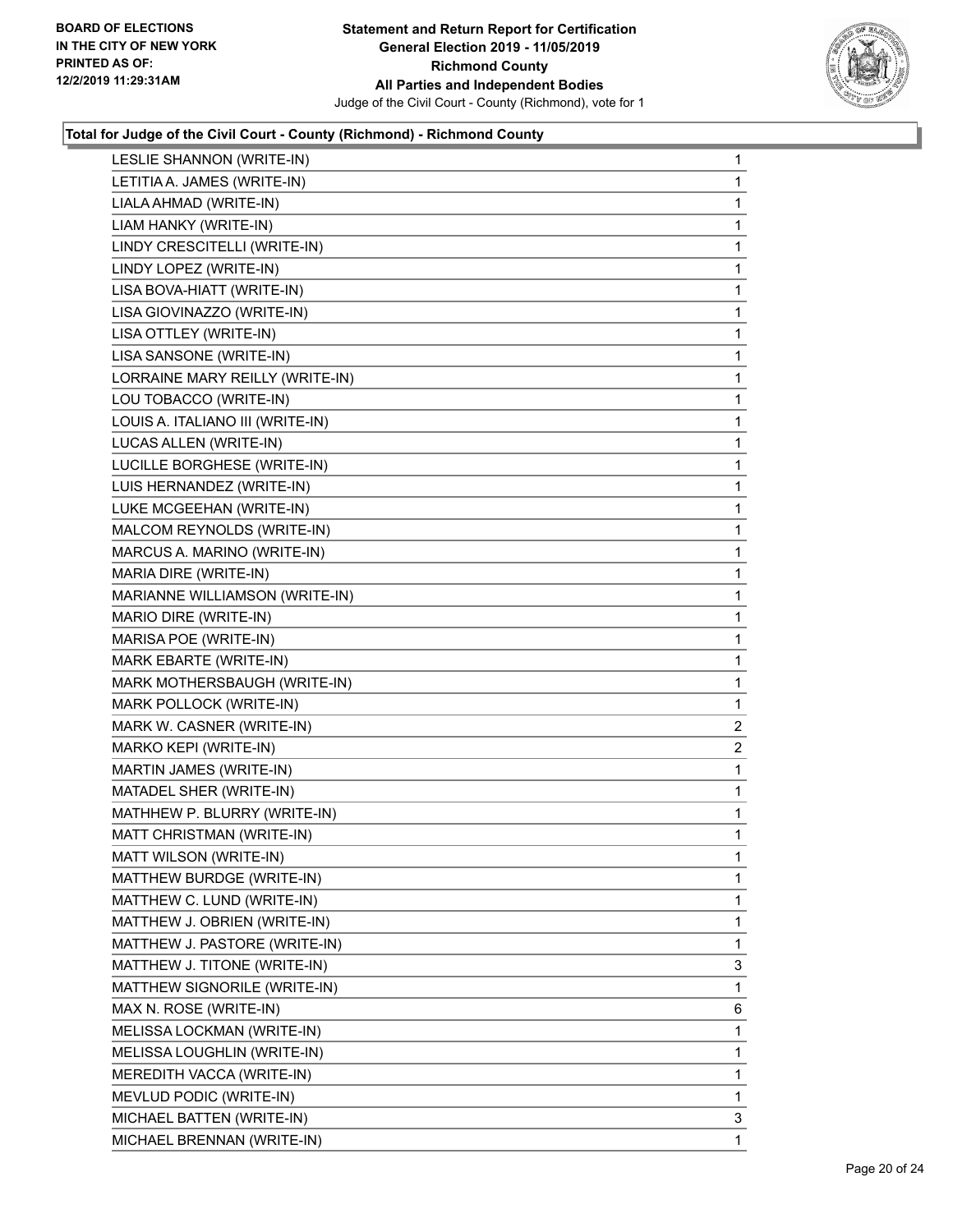

| LESLIE SHANNON (WRITE-IN)        | $\mathbf{1}$   |
|----------------------------------|----------------|
| LETITIA A. JAMES (WRITE-IN)      | 1              |
| LIALA AHMAD (WRITE-IN)           | 1              |
| LIAM HANKY (WRITE-IN)            | 1              |
| LINDY CRESCITELLI (WRITE-IN)     | 1              |
| LINDY LOPEZ (WRITE-IN)           | 1              |
| LISA BOVA-HIATT (WRITE-IN)       | 1              |
| LISA GIOVINAZZO (WRITE-IN)       | 1              |
| LISA OTTLEY (WRITE-IN)           | 1              |
| LISA SANSONE (WRITE-IN)          | 1              |
| LORRAINE MARY REILLY (WRITE-IN)  | 1              |
| LOU TOBACCO (WRITE-IN)           | 1              |
| LOUIS A. ITALIANO III (WRITE-IN) | 1              |
| LUCAS ALLEN (WRITE-IN)           | 1              |
| LUCILLE BORGHESE (WRITE-IN)      | 1              |
| LUIS HERNANDEZ (WRITE-IN)        | 1              |
| LUKE MCGEEHAN (WRITE-IN)         | 1              |
| MALCOM REYNOLDS (WRITE-IN)       | 1              |
| MARCUS A. MARINO (WRITE-IN)      | 1              |
| MARIA DIRE (WRITE-IN)            | 1              |
| MARIANNE WILLIAMSON (WRITE-IN)   | 1              |
| MARIO DIRE (WRITE-IN)            | 1              |
| MARISA POE (WRITE-IN)            | 1              |
| MARK EBARTE (WRITE-IN)           | 1              |
| MARK MOTHERSBAUGH (WRITE-IN)     | 1              |
| MARK POLLOCK (WRITE-IN)          | 1              |
| MARK W. CASNER (WRITE-IN)        | 2              |
| MARKO KEPI (WRITE-IN)            | $\overline{c}$ |
| MARTIN JAMES (WRITE-IN)          | 1              |
| MATADEL SHER (WRITE-IN)          | 1              |
| MATHHEW P. BLURRY (WRITE-IN)     | 1              |
| MATT CHRISTMAN (WRITE-IN)        | 1              |
| MATT WILSON (WRITE-IN)           | 1              |
| MATTHEW BURDGE (WRITE-IN)        | 1              |
| MATTHEW C. LUND (WRITE-IN)       | 1              |
| MATTHEW J. OBRIEN (WRITE-IN)     | 1              |
| MATTHEW J. PASTORE (WRITE-IN)    | 1              |
| MATTHEW J. TITONE (WRITE-IN)     | 3              |
| MATTHEW SIGNORILE (WRITE-IN)     | 1              |
| MAX N. ROSE (WRITE-IN)           | 6              |
| MELISSA LOCKMAN (WRITE-IN)       | 1              |
| MELISSA LOUGHLIN (WRITE-IN)      | 1              |
| MEREDITH VACCA (WRITE-IN)        | 1              |
| MEVLUD PODIC (WRITE-IN)          | 1              |
| MICHAEL BATTEN (WRITE-IN)        | 3              |
| MICHAEL BRENNAN (WRITE-IN)       | 1              |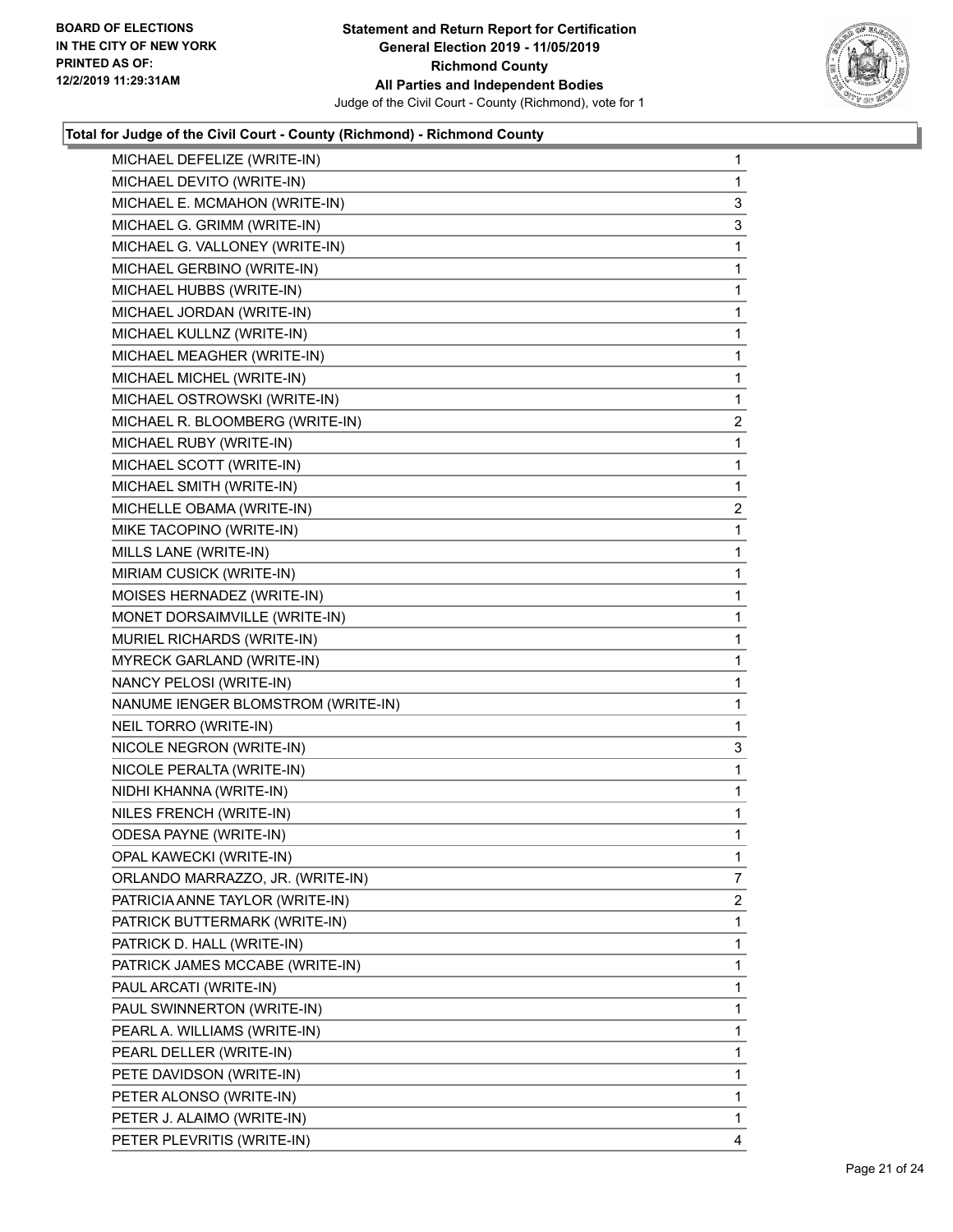

| MICHAEL DEFELIZE (WRITE-IN)        | $\mathbf{1}$   |
|------------------------------------|----------------|
| MICHAEL DEVITO (WRITE-IN)          | $\mathbf{1}$   |
| MICHAEL E. MCMAHON (WRITE-IN)      | 3              |
| MICHAEL G. GRIMM (WRITE-IN)        | 3              |
| MICHAEL G. VALLONEY (WRITE-IN)     | 1              |
| MICHAEL GERBINO (WRITE-IN)         | 1              |
| MICHAEL HUBBS (WRITE-IN)           | 1              |
| MICHAEL JORDAN (WRITE-IN)          | $\mathbf{1}$   |
| MICHAEL KULLNZ (WRITE-IN)          | 1              |
| MICHAEL MEAGHER (WRITE-IN)         | $\mathbf 1$    |
| MICHAEL MICHEL (WRITE-IN)          | $\mathbf 1$    |
| MICHAEL OSTROWSKI (WRITE-IN)       | $\mathbf{1}$   |
| MICHAEL R. BLOOMBERG (WRITE-IN)    | $\overline{2}$ |
| MICHAEL RUBY (WRITE-IN)            | $\mathbf{1}$   |
| MICHAEL SCOTT (WRITE-IN)           | 1              |
| MICHAEL SMITH (WRITE-IN)           | 1              |
| MICHELLE OBAMA (WRITE-IN)          | 2              |
| MIKE TACOPINO (WRITE-IN)           | 1              |
| MILLS LANE (WRITE-IN)              | 1              |
| MIRIAM CUSICK (WRITE-IN)           | $\mathbf{1}$   |
| MOISES HERNADEZ (WRITE-IN)         | 1              |
| MONET DORSAIMVILLE (WRITE-IN)      | $\mathbf 1$    |
| MURIEL RICHARDS (WRITE-IN)         | $\mathbf 1$    |
| <b>MYRECK GARLAND (WRITE-IN)</b>   | 1              |
| NANCY PELOSI (WRITE-IN)            | 1              |
| NANUME IENGER BLOMSTROM (WRITE-IN) | $\mathbf{1}$   |
| NEIL TORRO (WRITE-IN)              | 1              |
| NICOLE NEGRON (WRITE-IN)           | 3              |
| NICOLE PERALTA (WRITE-IN)          | $\mathbf 1$    |
| NIDHI KHANNA (WRITE-IN)            | 1              |
| NILES FRENCH (WRITE-IN)            | 1              |
| ODESA PAYNE (WRITE-IN)             | $\mathbf{1}$   |
| OPAL KAWECKI (WRITE-IN)            | $\mathbf 1$    |
| ORLANDO MARRAZZO, JR. (WRITE-IN)   | 7              |
| PATRICIA ANNE TAYLOR (WRITE-IN)    | 2              |
| PATRICK BUTTERMARK (WRITE-IN)      | 1              |
| PATRICK D. HALL (WRITE-IN)         | 1              |
| PATRICK JAMES MCCABE (WRITE-IN)    | 1              |
| PAUL ARCATI (WRITE-IN)             | 1              |
| PAUL SWINNERTON (WRITE-IN)         | 1              |
| PEARL A. WILLIAMS (WRITE-IN)       | 1              |
| PEARL DELLER (WRITE-IN)            | 1              |
| PETE DAVIDSON (WRITE-IN)           | 1              |
| PETER ALONSO (WRITE-IN)            | 1              |
| PETER J. ALAIMO (WRITE-IN)         | 1              |
| PETER PLEVRITIS (WRITE-IN)         | 4              |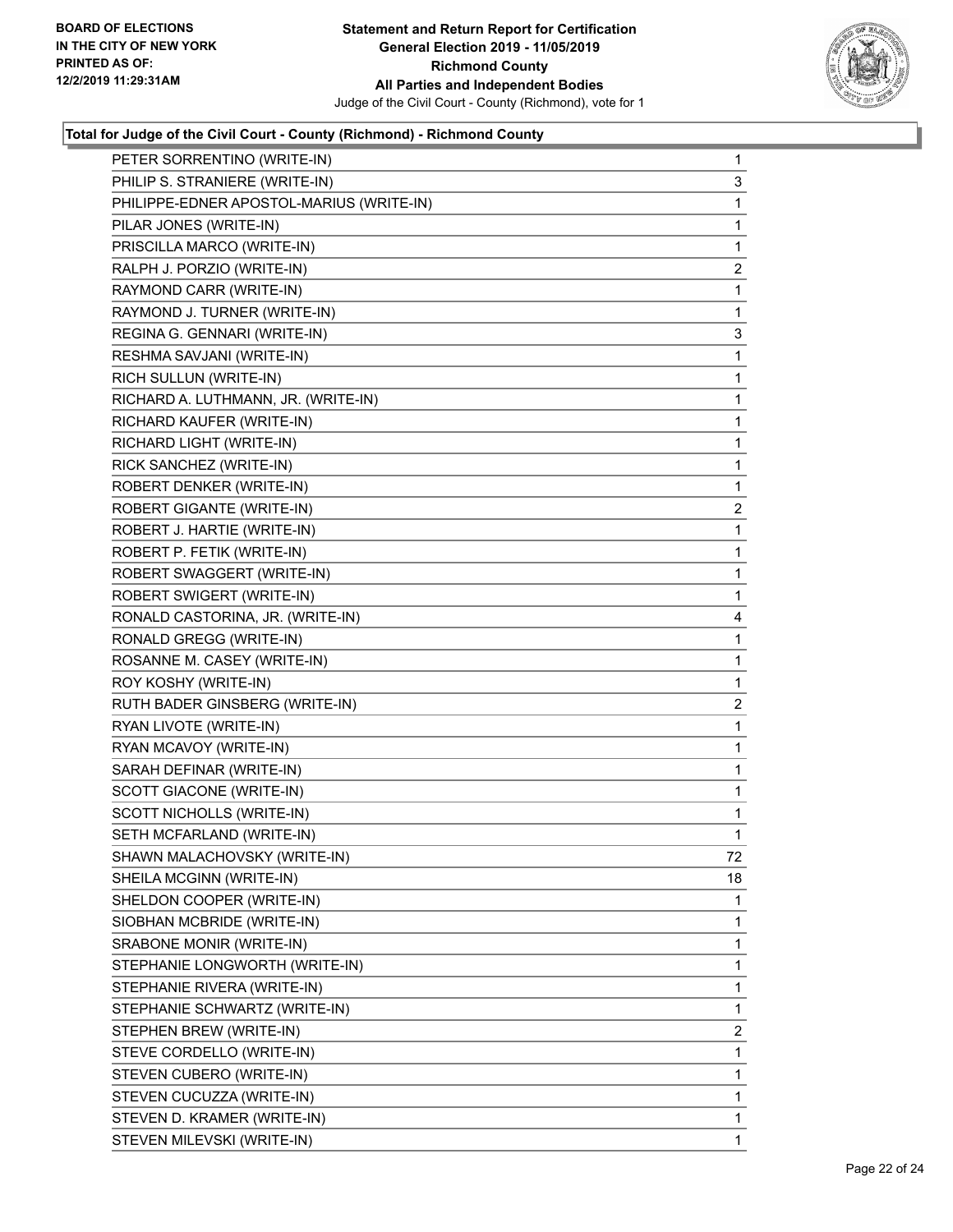

| PHILIP S. STRANIERE (WRITE-IN)<br>3<br>PHILIPPE-EDNER APOSTOL-MARIUS (WRITE-IN)<br>1<br>PILAR JONES (WRITE-IN)<br>1<br>PRISCILLA MARCO (WRITE-IN)<br>1<br>RALPH J. PORZIO (WRITE-IN)<br>2<br>RAYMOND CARR (WRITE-IN)<br>1<br>RAYMOND J. TURNER (WRITE-IN)<br>1<br>REGINA G. GENNARI (WRITE-IN)<br>3<br>$\mathbf{1}$<br>RESHMA SAVJANI (WRITE-IN)<br>RICH SULLUN (WRITE-IN)<br>1<br>RICHARD A. LUTHMANN, JR. (WRITE-IN)<br>1<br>RICHARD KAUFER (WRITE-IN)<br>1<br>RICHARD LIGHT (WRITE-IN)<br>1<br>RICK SANCHEZ (WRITE-IN)<br>1<br>ROBERT DENKER (WRITE-IN)<br>1<br>ROBERT GIGANTE (WRITE-IN)<br>2<br>ROBERT J. HARTIE (WRITE-IN)<br>1<br>ROBERT P. FETIK (WRITE-IN)<br>1<br>ROBERT SWAGGERT (WRITE-IN)<br>1<br>ROBERT SWIGERT (WRITE-IN)<br>1<br>RONALD CASTORINA, JR. (WRITE-IN)<br>4<br>RONALD GREGG (WRITE-IN)<br>1<br>ROSANNE M. CASEY (WRITE-IN)<br>1<br>ROY KOSHY (WRITE-IN)<br>1<br>RUTH BADER GINSBERG (WRITE-IN)<br>2<br>RYAN LIVOTE (WRITE-IN)<br>1<br>RYAN MCAVOY (WRITE-IN)<br>1<br>SARAH DEFINAR (WRITE-IN)<br>1<br>SCOTT GIACONE (WRITE-IN)<br>1<br>SCOTT NICHOLLS (WRITE-IN)<br>1<br>SETH MCFARLAND (WRITE-IN)<br>1<br>72<br>SHAWN MALACHOVSKY (WRITE-IN)<br>SHEILA MCGINN (WRITE-IN)<br>18<br>SHELDON COOPER (WRITE-IN)<br>1<br>1<br>SIOBHAN MCBRIDE (WRITE-IN)<br>SRABONE MONIR (WRITE-IN)<br>1<br>STEPHANIE LONGWORTH (WRITE-IN)<br>1<br>1<br>STEPHANIE RIVERA (WRITE-IN)<br>STEPHANIE SCHWARTZ (WRITE-IN)<br>1<br>STEPHEN BREW (WRITE-IN)<br>2<br>STEVE CORDELLO (WRITE-IN)<br>1<br>STEVEN CUBERO (WRITE-IN)<br>1<br>STEVEN CUCUZZA (WRITE-IN)<br>1<br>1<br>STEVEN D. KRAMER (WRITE-IN) |                            |   |
|------------------------------------------------------------------------------------------------------------------------------------------------------------------------------------------------------------------------------------------------------------------------------------------------------------------------------------------------------------------------------------------------------------------------------------------------------------------------------------------------------------------------------------------------------------------------------------------------------------------------------------------------------------------------------------------------------------------------------------------------------------------------------------------------------------------------------------------------------------------------------------------------------------------------------------------------------------------------------------------------------------------------------------------------------------------------------------------------------------------------------------------------------------------------------------------------------------------------------------------------------------------------------------------------------------------------------------------------------------------------------------------------------------------------------------------------------------------------------------------------------------------------------------------------------------------------------------------------------------|----------------------------|---|
|                                                                                                                                                                                                                                                                                                                                                                                                                                                                                                                                                                                                                                                                                                                                                                                                                                                                                                                                                                                                                                                                                                                                                                                                                                                                                                                                                                                                                                                                                                                                                                                                            |                            |   |
|                                                                                                                                                                                                                                                                                                                                                                                                                                                                                                                                                                                                                                                                                                                                                                                                                                                                                                                                                                                                                                                                                                                                                                                                                                                                                                                                                                                                                                                                                                                                                                                                            |                            |   |
|                                                                                                                                                                                                                                                                                                                                                                                                                                                                                                                                                                                                                                                                                                                                                                                                                                                                                                                                                                                                                                                                                                                                                                                                                                                                                                                                                                                                                                                                                                                                                                                                            |                            |   |
|                                                                                                                                                                                                                                                                                                                                                                                                                                                                                                                                                                                                                                                                                                                                                                                                                                                                                                                                                                                                                                                                                                                                                                                                                                                                                                                                                                                                                                                                                                                                                                                                            |                            |   |
|                                                                                                                                                                                                                                                                                                                                                                                                                                                                                                                                                                                                                                                                                                                                                                                                                                                                                                                                                                                                                                                                                                                                                                                                                                                                                                                                                                                                                                                                                                                                                                                                            |                            |   |
|                                                                                                                                                                                                                                                                                                                                                                                                                                                                                                                                                                                                                                                                                                                                                                                                                                                                                                                                                                                                                                                                                                                                                                                                                                                                                                                                                                                                                                                                                                                                                                                                            |                            |   |
|                                                                                                                                                                                                                                                                                                                                                                                                                                                                                                                                                                                                                                                                                                                                                                                                                                                                                                                                                                                                                                                                                                                                                                                                                                                                                                                                                                                                                                                                                                                                                                                                            |                            |   |
|                                                                                                                                                                                                                                                                                                                                                                                                                                                                                                                                                                                                                                                                                                                                                                                                                                                                                                                                                                                                                                                                                                                                                                                                                                                                                                                                                                                                                                                                                                                                                                                                            |                            |   |
|                                                                                                                                                                                                                                                                                                                                                                                                                                                                                                                                                                                                                                                                                                                                                                                                                                                                                                                                                                                                                                                                                                                                                                                                                                                                                                                                                                                                                                                                                                                                                                                                            |                            |   |
|                                                                                                                                                                                                                                                                                                                                                                                                                                                                                                                                                                                                                                                                                                                                                                                                                                                                                                                                                                                                                                                                                                                                                                                                                                                                                                                                                                                                                                                                                                                                                                                                            |                            |   |
|                                                                                                                                                                                                                                                                                                                                                                                                                                                                                                                                                                                                                                                                                                                                                                                                                                                                                                                                                                                                                                                                                                                                                                                                                                                                                                                                                                                                                                                                                                                                                                                                            |                            |   |
|                                                                                                                                                                                                                                                                                                                                                                                                                                                                                                                                                                                                                                                                                                                                                                                                                                                                                                                                                                                                                                                                                                                                                                                                                                                                                                                                                                                                                                                                                                                                                                                                            |                            |   |
|                                                                                                                                                                                                                                                                                                                                                                                                                                                                                                                                                                                                                                                                                                                                                                                                                                                                                                                                                                                                                                                                                                                                                                                                                                                                                                                                                                                                                                                                                                                                                                                                            |                            |   |
|                                                                                                                                                                                                                                                                                                                                                                                                                                                                                                                                                                                                                                                                                                                                                                                                                                                                                                                                                                                                                                                                                                                                                                                                                                                                                                                                                                                                                                                                                                                                                                                                            |                            |   |
|                                                                                                                                                                                                                                                                                                                                                                                                                                                                                                                                                                                                                                                                                                                                                                                                                                                                                                                                                                                                                                                                                                                                                                                                                                                                                                                                                                                                                                                                                                                                                                                                            |                            |   |
|                                                                                                                                                                                                                                                                                                                                                                                                                                                                                                                                                                                                                                                                                                                                                                                                                                                                                                                                                                                                                                                                                                                                                                                                                                                                                                                                                                                                                                                                                                                                                                                                            |                            |   |
|                                                                                                                                                                                                                                                                                                                                                                                                                                                                                                                                                                                                                                                                                                                                                                                                                                                                                                                                                                                                                                                                                                                                                                                                                                                                                                                                                                                                                                                                                                                                                                                                            |                            |   |
|                                                                                                                                                                                                                                                                                                                                                                                                                                                                                                                                                                                                                                                                                                                                                                                                                                                                                                                                                                                                                                                                                                                                                                                                                                                                                                                                                                                                                                                                                                                                                                                                            |                            |   |
|                                                                                                                                                                                                                                                                                                                                                                                                                                                                                                                                                                                                                                                                                                                                                                                                                                                                                                                                                                                                                                                                                                                                                                                                                                                                                                                                                                                                                                                                                                                                                                                                            |                            |   |
|                                                                                                                                                                                                                                                                                                                                                                                                                                                                                                                                                                                                                                                                                                                                                                                                                                                                                                                                                                                                                                                                                                                                                                                                                                                                                                                                                                                                                                                                                                                                                                                                            |                            |   |
|                                                                                                                                                                                                                                                                                                                                                                                                                                                                                                                                                                                                                                                                                                                                                                                                                                                                                                                                                                                                                                                                                                                                                                                                                                                                                                                                                                                                                                                                                                                                                                                                            |                            |   |
|                                                                                                                                                                                                                                                                                                                                                                                                                                                                                                                                                                                                                                                                                                                                                                                                                                                                                                                                                                                                                                                                                                                                                                                                                                                                                                                                                                                                                                                                                                                                                                                                            |                            |   |
|                                                                                                                                                                                                                                                                                                                                                                                                                                                                                                                                                                                                                                                                                                                                                                                                                                                                                                                                                                                                                                                                                                                                                                                                                                                                                                                                                                                                                                                                                                                                                                                                            |                            |   |
|                                                                                                                                                                                                                                                                                                                                                                                                                                                                                                                                                                                                                                                                                                                                                                                                                                                                                                                                                                                                                                                                                                                                                                                                                                                                                                                                                                                                                                                                                                                                                                                                            |                            |   |
|                                                                                                                                                                                                                                                                                                                                                                                                                                                                                                                                                                                                                                                                                                                                                                                                                                                                                                                                                                                                                                                                                                                                                                                                                                                                                                                                                                                                                                                                                                                                                                                                            |                            |   |
|                                                                                                                                                                                                                                                                                                                                                                                                                                                                                                                                                                                                                                                                                                                                                                                                                                                                                                                                                                                                                                                                                                                                                                                                                                                                                                                                                                                                                                                                                                                                                                                                            |                            |   |
|                                                                                                                                                                                                                                                                                                                                                                                                                                                                                                                                                                                                                                                                                                                                                                                                                                                                                                                                                                                                                                                                                                                                                                                                                                                                                                                                                                                                                                                                                                                                                                                                            |                            |   |
|                                                                                                                                                                                                                                                                                                                                                                                                                                                                                                                                                                                                                                                                                                                                                                                                                                                                                                                                                                                                                                                                                                                                                                                                                                                                                                                                                                                                                                                                                                                                                                                                            |                            |   |
|                                                                                                                                                                                                                                                                                                                                                                                                                                                                                                                                                                                                                                                                                                                                                                                                                                                                                                                                                                                                                                                                                                                                                                                                                                                                                                                                                                                                                                                                                                                                                                                                            |                            |   |
|                                                                                                                                                                                                                                                                                                                                                                                                                                                                                                                                                                                                                                                                                                                                                                                                                                                                                                                                                                                                                                                                                                                                                                                                                                                                                                                                                                                                                                                                                                                                                                                                            |                            |   |
|                                                                                                                                                                                                                                                                                                                                                                                                                                                                                                                                                                                                                                                                                                                                                                                                                                                                                                                                                                                                                                                                                                                                                                                                                                                                                                                                                                                                                                                                                                                                                                                                            |                            |   |
|                                                                                                                                                                                                                                                                                                                                                                                                                                                                                                                                                                                                                                                                                                                                                                                                                                                                                                                                                                                                                                                                                                                                                                                                                                                                                                                                                                                                                                                                                                                                                                                                            |                            |   |
|                                                                                                                                                                                                                                                                                                                                                                                                                                                                                                                                                                                                                                                                                                                                                                                                                                                                                                                                                                                                                                                                                                                                                                                                                                                                                                                                                                                                                                                                                                                                                                                                            |                            |   |
|                                                                                                                                                                                                                                                                                                                                                                                                                                                                                                                                                                                                                                                                                                                                                                                                                                                                                                                                                                                                                                                                                                                                                                                                                                                                                                                                                                                                                                                                                                                                                                                                            |                            |   |
|                                                                                                                                                                                                                                                                                                                                                                                                                                                                                                                                                                                                                                                                                                                                                                                                                                                                                                                                                                                                                                                                                                                                                                                                                                                                                                                                                                                                                                                                                                                                                                                                            |                            |   |
|                                                                                                                                                                                                                                                                                                                                                                                                                                                                                                                                                                                                                                                                                                                                                                                                                                                                                                                                                                                                                                                                                                                                                                                                                                                                                                                                                                                                                                                                                                                                                                                                            |                            |   |
|                                                                                                                                                                                                                                                                                                                                                                                                                                                                                                                                                                                                                                                                                                                                                                                                                                                                                                                                                                                                                                                                                                                                                                                                                                                                                                                                                                                                                                                                                                                                                                                                            |                            |   |
|                                                                                                                                                                                                                                                                                                                                                                                                                                                                                                                                                                                                                                                                                                                                                                                                                                                                                                                                                                                                                                                                                                                                                                                                                                                                                                                                                                                                                                                                                                                                                                                                            |                            |   |
|                                                                                                                                                                                                                                                                                                                                                                                                                                                                                                                                                                                                                                                                                                                                                                                                                                                                                                                                                                                                                                                                                                                                                                                                                                                                                                                                                                                                                                                                                                                                                                                                            |                            |   |
|                                                                                                                                                                                                                                                                                                                                                                                                                                                                                                                                                                                                                                                                                                                                                                                                                                                                                                                                                                                                                                                                                                                                                                                                                                                                                                                                                                                                                                                                                                                                                                                                            |                            |   |
|                                                                                                                                                                                                                                                                                                                                                                                                                                                                                                                                                                                                                                                                                                                                                                                                                                                                                                                                                                                                                                                                                                                                                                                                                                                                                                                                                                                                                                                                                                                                                                                                            |                            |   |
|                                                                                                                                                                                                                                                                                                                                                                                                                                                                                                                                                                                                                                                                                                                                                                                                                                                                                                                                                                                                                                                                                                                                                                                                                                                                                                                                                                                                                                                                                                                                                                                                            |                            |   |
|                                                                                                                                                                                                                                                                                                                                                                                                                                                                                                                                                                                                                                                                                                                                                                                                                                                                                                                                                                                                                                                                                                                                                                                                                                                                                                                                                                                                                                                                                                                                                                                                            |                            |   |
|                                                                                                                                                                                                                                                                                                                                                                                                                                                                                                                                                                                                                                                                                                                                                                                                                                                                                                                                                                                                                                                                                                                                                                                                                                                                                                                                                                                                                                                                                                                                                                                                            |                            |   |
|                                                                                                                                                                                                                                                                                                                                                                                                                                                                                                                                                                                                                                                                                                                                                                                                                                                                                                                                                                                                                                                                                                                                                                                                                                                                                                                                                                                                                                                                                                                                                                                                            | STEVEN MILEVSKI (WRITE-IN) | 1 |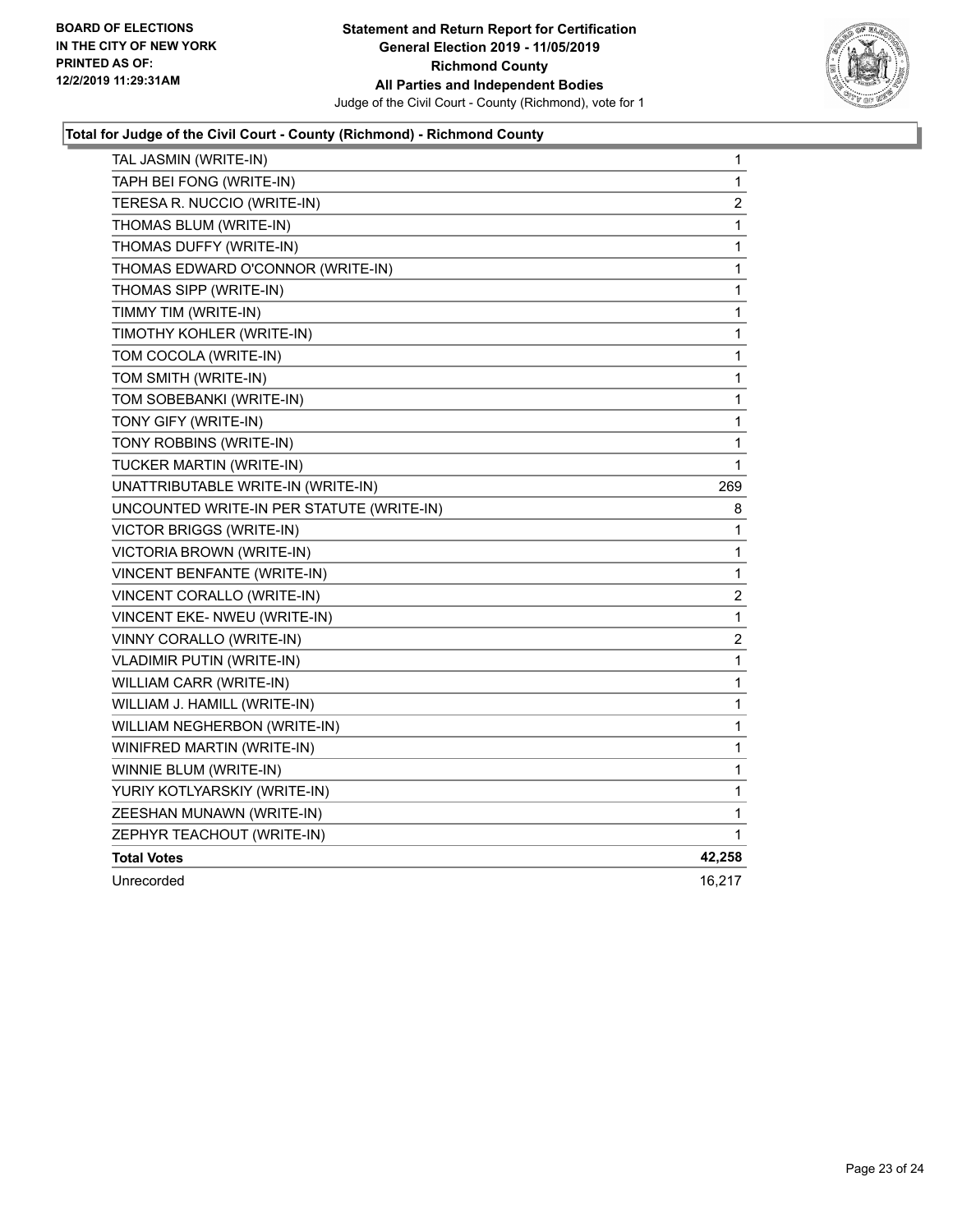

| TAL JASMIN (WRITE-IN)                     | 1                       |
|-------------------------------------------|-------------------------|
| TAPH BEI FONG (WRITE-IN)                  | 1                       |
| TERESA R. NUCCIO (WRITE-IN)               | 2                       |
| THOMAS BLUM (WRITE-IN)                    | $\mathbf{1}$            |
| THOMAS DUFFY (WRITE-IN)                   | 1                       |
| THOMAS EDWARD O'CONNOR (WRITE-IN)         | $\mathbf 1$             |
| THOMAS SIPP (WRITE-IN)                    | $\mathbf 1$             |
| TIMMY TIM (WRITE-IN)                      | 1                       |
| TIMOTHY KOHLER (WRITE-IN)                 | 1                       |
| TOM COCOLA (WRITE-IN)                     | 1                       |
| TOM SMITH (WRITE-IN)                      | 1                       |
| TOM SOBEBANKI (WRITE-IN)                  | 1                       |
| TONY GIFY (WRITE-IN)                      | 1                       |
| TONY ROBBINS (WRITE-IN)                   | 1                       |
| TUCKER MARTIN (WRITE-IN)                  | 1                       |
| UNATTRIBUTABLE WRITE-IN (WRITE-IN)        | 269                     |
| UNCOUNTED WRITE-IN PER STATUTE (WRITE-IN) | 8                       |
| VICTOR BRIGGS (WRITE-IN)                  | 1                       |
| VICTORIA BROWN (WRITE-IN)                 | 1                       |
| VINCENT BENFANTE (WRITE-IN)               | $\mathbf 1$             |
| VINCENT CORALLO (WRITE-IN)                | $\overline{\mathbf{c}}$ |
| VINCENT EKE- NWEU (WRITE-IN)              | 1                       |
| VINNY CORALLO (WRITE-IN)                  | $\overline{c}$          |
| <b>VLADIMIR PUTIN (WRITE-IN)</b>          | 1                       |
| WILLIAM CARR (WRITE-IN)                   | 1                       |
| WILLIAM J. HAMILL (WRITE-IN)              | 1                       |
| WILLIAM NEGHERBON (WRITE-IN)              | 1                       |
| WINIFRED MARTIN (WRITE-IN)                | 1                       |
| WINNIE BLUM (WRITE-IN)                    | 1                       |
| YURIY KOTLYARSKIY (WRITE-IN)              | 1                       |
| ZEESHAN MUNAWN (WRITE-IN)                 | 1                       |
| ZEPHYR TEACHOUT (WRITE-IN)                | 1                       |
| <b>Total Votes</b>                        | 42,258                  |
| Unrecorded                                | 16,217                  |